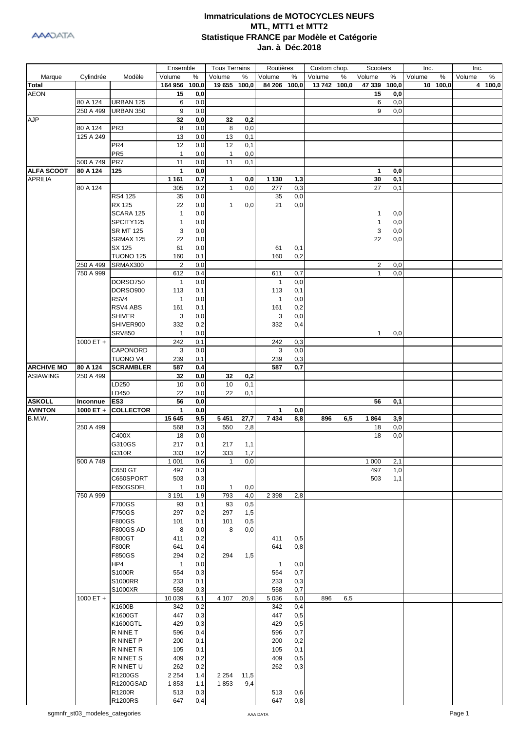|                   |             |                  | Ensemble       |          | <b>Tous Terrains</b> |      | Routières    |     | Custom chop. |     | Scooters     |       | Inc.        | Inc.        |
|-------------------|-------------|------------------|----------------|----------|----------------------|------|--------------|-----|--------------|-----|--------------|-------|-------------|-------------|
| Marque            | Cylindrée   | Modèle           | Volume         | %        | Volume               | %    | Volume       | %   | Volume       | %   | Volume       | %     | Volume<br>% | %<br>Volume |
| <b>Total</b>      |             |                  | 164 956        | 100,0    | 19 655 100,0         |      | 84 206 100,0 |     | 13 742 100,0 |     | 47 339       | 100,0 | 10 100,0    | 4 100,0     |
| <b>AEON</b>       |             |                  | 15             | 0,0      |                      |      |              |     |              |     | 15           | 0,0   |             |             |
|                   | 80 A 124    | URBAN 125        | 6              | 0,0      |                      |      |              |     |              |     | 6            | 0,0   |             |             |
|                   | 250 A 499   | URBAN 350        | 9              | 0,0      |                      |      |              |     |              |     | 9            | 0,0   |             |             |
| <b>AJP</b>        |             |                  | 32             | 0,0      | 32                   | 0,2  |              |     |              |     |              |       |             |             |
|                   | 80 A 124    | PR <sub>3</sub>  | 8              | 0,0      | 8                    | 0,0  |              |     |              |     |              |       |             |             |
|                   | 125 A 249   |                  | 13             | 0,0      | 13                   | 0,1  |              |     |              |     |              |       |             |             |
|                   |             | PR <sub>4</sub>  | 12             | 0,0      | 12                   | 0,1  |              |     |              |     |              |       |             |             |
|                   |             | PR <sub>5</sub>  | $\mathbf{1}$   | 0,0      | $\mathbf{1}$         | 0,0  |              |     |              |     |              |       |             |             |
|                   | 500 A 749   | PR7              | 11             | 0,0      | 11                   | 0,1  |              |     |              |     |              |       |             |             |
| <b>ALFA SCOOT</b> | 80 A 124    | 125              | 1              | 0,0      |                      |      |              |     |              |     | 1            | 0,0   |             |             |
| <b>APRILIA</b>    |             |                  |                |          |                      |      |              |     |              |     |              |       |             |             |
|                   | 80 A 124    |                  | 1 1 6 1        | 0,7      | $\mathbf{1}$         | 0,0  | 1 1 3 0      | 1,3 |              |     | 30           | 0,1   |             |             |
|                   |             |                  | 305            | 0,2      | $\mathbf{1}$         | 0,0  | 277          | 0,3 |              |     | 27           | 0,1   |             |             |
|                   |             | RS4 125          | 35             | 0,0      |                      |      | 35           | 0,0 |              |     |              |       |             |             |
|                   |             | RX 125           | 22             | 0,0      | $\mathbf{1}$         | 0,0  | 21           | 0,0 |              |     |              |       |             |             |
|                   |             | SCARA 125        | 1              | $_{0,0}$ |                      |      |              |     |              |     | 1            | 0,0   |             |             |
|                   |             | SPCITY125        | $\mathbf{1}$   | 0,0      |                      |      |              |     |              |     | 1            | 0,0   |             |             |
|                   |             | <b>SR MT 125</b> | 3              | 0,0      |                      |      |              |     |              |     | 3            | 0,0   |             |             |
|                   |             | SRMAX 125        | 22             | 0,0      |                      |      |              |     |              |     | 22           | 0,0   |             |             |
|                   |             | SX 125           | 61             | 0,0      |                      |      | 61           | 0,1 |              |     |              |       |             |             |
|                   |             | <b>TUONO 125</b> | 160            | 0,1      |                      |      | 160          | 0,2 |              |     |              |       |             |             |
|                   | 250 A 499   | SRMAX300         | $\overline{2}$ | 0,0      |                      |      |              |     |              |     | 2            | 0,0   |             |             |
|                   | 750 A 999   |                  | 612            | 0,4      |                      |      | 611          | 0,7 |              |     | $\mathbf{1}$ | 0,0   |             |             |
|                   |             | <b>DORSO750</b>  | 1              | 0,0      |                      |      | 1            | 0,0 |              |     |              |       |             |             |
|                   |             | DORSO900         | 113            | 0,1      |                      |      | 113          | 0,1 |              |     |              |       |             |             |
|                   |             | RSV4             | 1              | 0,0      |                      |      | $\mathbf{1}$ | 0,0 |              |     |              |       |             |             |
|                   |             | RSV4 ABS         | 161            | 0,1      |                      |      | 161          | 0,2 |              |     |              |       |             |             |
|                   |             | <b>SHIVER</b>    | 3              | 0,0      |                      |      | 3            | 0,0 |              |     |              |       |             |             |
|                   |             | SHIVER900        | 332            | 0,2      |                      |      | 332          | 0,4 |              |     |              |       |             |             |
|                   |             | <b>SRV850</b>    | $\mathbf{1}$   | 0,0      |                      |      |              |     |              |     | $\mathbf{1}$ | 0,0   |             |             |
|                   | 1000 ET +   |                  | 242            | 0,1      |                      |      | 242          | 0,3 |              |     |              |       |             |             |
|                   |             | CAPONORD         | 3              | 0,0      |                      |      | 3            | 0,0 |              |     |              |       |             |             |
|                   |             | TUONO V4         | 239            | 0,1      |                      |      | 239          | 0,3 |              |     |              |       |             |             |
| <b>ARCHIVE MO</b> | 80 A 124    | <b>SCRAMBLER</b> | 587            | 0,4      |                      |      | 587          | 0,7 |              |     |              |       |             |             |
| <b>ASIAWING</b>   | 250 A 499   |                  | 32             | 0,0      | 32                   | 0,2  |              |     |              |     |              |       |             |             |
|                   |             | LD250            | 10             | 0,0      | 10                   | 0,1  |              |     |              |     |              |       |             |             |
|                   |             |                  |                |          |                      |      |              |     |              |     |              |       |             |             |
|                   |             | LD450            | 22             | 0,0      | 22                   | 0,1  |              |     |              |     |              |       |             |             |
| <b>ASKOLL</b>     | Inconnue    | ES3              | 56             | 0,0      |                      |      |              |     |              |     | 56           | 0,1   |             |             |
| <b>AVINTON</b>    | 1000 ET +   | <b>COLLECTOR</b> | 1              | 0,0      |                      |      | 1            | 0,0 |              |     |              |       |             |             |
| B.M.W.            |             |                  | 15 645         | 9,5      | 5 4 5 1              | 27,7 | 7434         | 8,8 | 896          | 6,5 | 1864         | 3,9   |             |             |
|                   | 250 A 499   |                  | 568            | 0,3      | 550                  | 2,8  |              |     |              |     | 18           | 0,0   |             |             |
|                   |             | C400X            | 18             | 0,0      |                      |      |              |     |              |     | 18           | 0,0   |             |             |
|                   |             | G310GS           | 217            | 0,1      | 217                  | 1,1  |              |     |              |     |              |       |             |             |
|                   |             | G310R            | 333            | 0,2      | 333                  | 1,7  |              |     |              |     |              |       |             |             |
|                   | 500 A 749   |                  | 1 0 0 1        | 0,6      | $\mathbf{1}$         | 0,0  |              |     |              |     | 1 0 0 0      | 2,1   |             |             |
|                   |             | C650 GT          | 497            | 0,3      |                      |      |              |     |              |     | 497          | 1,0   |             |             |
|                   |             | C650SPORT        | 503            | 0,3      |                      |      |              |     |              |     | 503          | 1,1   |             |             |
|                   |             | F650GSDFL        | 1              | 0,0      | $\mathbf{1}$         | 0,0  |              |     |              |     |              |       |             |             |
|                   | 750 A 999   |                  | 3 1 9 1        | 1,9      | 793                  | 4,0  | 2 3 9 8      | 2,8 |              |     |              |       |             |             |
|                   |             | <b>F700GS</b>    | 93             | 0,1      | 93                   | 0,5  |              |     |              |     |              |       |             |             |
|                   |             | <b>F750GS</b>    | 297            | 0,2      | 297                  | 1,5  |              |     |              |     |              |       |             |             |
|                   |             | F800GS           | 101            | 0,1      | 101                  | 0,5  |              |     |              |     |              |       |             |             |
|                   |             | <b>F800GS AD</b> | 8              | 0,0      | 8                    | 0,0  |              |     |              |     |              |       |             |             |
|                   |             | F800GT           | 411            | 0,2      |                      |      | 411          | 0,5 |              |     |              |       |             |             |
|                   |             | F800R            | 641            | 0,4      |                      |      | 641          | 0,8 |              |     |              |       |             |             |
|                   |             | F850GS           | 294            | 0,2      | 294                  | 1,5  |              |     |              |     |              |       |             |             |
|                   |             | HP4              | $\mathbf{1}$   | 0,0      |                      |      | $\mathbf{1}$ | 0,0 |              |     |              |       |             |             |
|                   |             | S1000R           | 554            | 0,3      |                      |      | 554          | 0,7 |              |     |              |       |             |             |
|                   |             | S1000RR          | 233            | 0,1      |                      |      | 233          | 0,3 |              |     |              |       |             |             |
|                   |             | S1000XR          | 558            | 0,3      |                      |      | 558          | 0,7 |              |     |              |       |             |             |
|                   | $1000 ET +$ |                  | 10 039         | 6,1      | 4 107                | 20,9 | 5 0 36       | 6,0 | 896          | 6,5 |              |       |             |             |
|                   |             |                  |                |          |                      |      |              |     |              |     |              |       |             |             |
|                   |             | K1600B           | 342            | 0,2      |                      |      | 342          | 0,4 |              |     |              |       |             |             |
|                   |             | K1600GT          | 447            | 0,3      |                      |      | 447          | 0,5 |              |     |              |       |             |             |
|                   |             | K1600GTL         | 429            | 0,3      |                      |      | 429          | 0,5 |              |     |              |       |             |             |
|                   |             | R NINE T         | 596            | 0,4      |                      |      | 596          | 0,7 |              |     |              |       |             |             |
|                   |             | R NINET P        | 200            | 0,1      |                      |      | 200          | 0,2 |              |     |              |       |             |             |
|                   |             | R NINET R        | 105            | 0,1      |                      |      | 105          | 0,1 |              |     |              |       |             |             |
|                   |             | R NINET S        | 409            | 0,2      |                      |      | 409          | 0,5 |              |     |              |       |             |             |
|                   |             | R NINET U        | 262            | 0,2      |                      |      | 262          | 0,3 |              |     |              |       |             |             |
|                   |             | R1200GS          | 2 2 5 4        | 1,4      | 2 2 5 4              | 11,5 |              |     |              |     |              |       |             |             |
|                   |             | R1200GSAD        | 1853           | 1,1      | 1853                 | 9,4  |              |     |              |     |              |       |             |             |
|                   |             | R1200R           | 513            | 0,3      |                      |      | 513          | 0,6 |              |     |              |       |             |             |
|                   |             | R1200RS          | 647            | 0,4      |                      |      | 647          | 0,8 |              |     |              |       |             |             |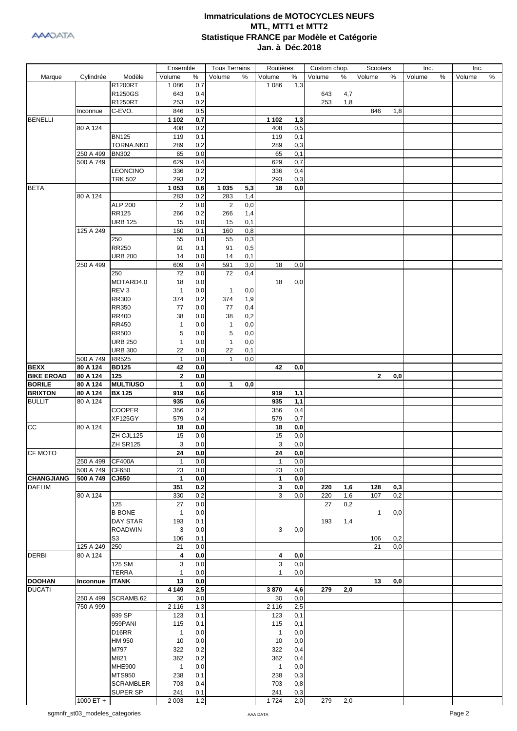

|                   |                                |                  | Ensemble          |                  | <b>Tous Terrains</b> |     | Routières         |                  | Custom chop. |      | Scooters     |     | Inc.   |   | Inc.   |      |
|-------------------|--------------------------------|------------------|-------------------|------------------|----------------------|-----|-------------------|------------------|--------------|------|--------------|-----|--------|---|--------|------|
| Marque            | Cylindrée                      | Modèle           | Volume            | %                | Volume               | %   | Volume            | $\%$             | Volume       | $\%$ | Volume       | %   | Volume | % | Volume | $\%$ |
|                   |                                | R1200RT          | 1 0 8 6           | 0,7              |                      |     | 1 0 8 6           | 1,3              |              |      |              |     |        |   |        |      |
|                   |                                | R1250GS          | 643               | 0,4              |                      |     |                   |                  | 643          | 4,7  |              |     |        |   |        |      |
|                   |                                | R1250RT          | 253               | 0,2              |                      |     |                   |                  | 253          | 1,8  |              |     |        |   |        |      |
|                   | Inconnue                       | C-EVO.           | 846               | 0,5              |                      |     |                   |                  |              |      | 846          | 1,8 |        |   |        |      |
| <b>BENELLI</b>    |                                |                  | 1 1 0 2           | 0,7              |                      |     | 1 1 0 2           | 1,3              |              |      |              |     |        |   |        |      |
|                   | 80 A 124                       |                  | 408               | 0,2              |                      |     | 408               | 0,5              |              |      |              |     |        |   |        |      |
|                   |                                | <b>BN125</b>     | 119               | 0,1              |                      |     | 119               | 0,1              |              |      |              |     |        |   |        |      |
|                   |                                | TORNA.NKD        | 289               | 0,2              |                      |     | 289               | 0,3              |              |      |              |     |        |   |        |      |
|                   | 250 A 499                      | <b>BN302</b>     | 65                | 0,0              |                      |     | 65                | 0,1              |              |      |              |     |        |   |        |      |
|                   | 500 A 749                      |                  | 629               | 0,4              |                      |     | 629               | 0,7              |              |      |              |     |        |   |        |      |
|                   |                                | <b>LEONCINO</b>  | 336               | 0,2              |                      |     | 336               | 0,4              |              |      |              |     |        |   |        |      |
|                   |                                | <b>TRK 502</b>   | 293               | 0,2              |                      |     | 293               | 0,3              |              |      |              |     |        |   |        |      |
| <b>BETA</b>       |                                |                  | 1 0 5 3           | 0,6              | 1 0 3 5              | 5,3 | 18                | 0,0              |              |      |              |     |        |   |        |      |
|                   | 80 A 124                       |                  | 283               | 0,2              | 283                  | 1,4 |                   |                  |              |      |              |     |        |   |        |      |
|                   |                                | <b>ALP 200</b>   | $\overline{2}$    | 0,0              | 2                    | 0,0 |                   |                  |              |      |              |     |        |   |        |      |
|                   |                                | <b>RR125</b>     | 266               | 0,2              | 266                  | 1,4 |                   |                  |              |      |              |     |        |   |        |      |
|                   |                                | <b>URB 125</b>   | 15                | 0,0              | 15                   | 0,1 |                   |                  |              |      |              |     |        |   |        |      |
|                   | 125 A 249                      |                  | 160               | 0,1              | 160                  | 0,8 |                   |                  |              |      |              |     |        |   |        |      |
|                   |                                | 250              | 55                | 0,0              | 55                   | 0,3 |                   |                  |              |      |              |     |        |   |        |      |
|                   |                                | <b>RR250</b>     | 91                | 0,1              | 91                   | 0,5 |                   |                  |              |      |              |     |        |   |        |      |
|                   |                                | <b>URB 200</b>   | 14                | 0,0              | 14                   | 0,1 |                   |                  |              |      |              |     |        |   |        |      |
|                   | 250 A 499                      |                  | 609               | 0,4              | 591                  | 3,0 | 18                | 0,0              |              |      |              |     |        |   |        |      |
|                   |                                | 250              | 72                | 0,0              | 72                   | 0,4 |                   |                  |              |      |              |     |        |   |        |      |
|                   |                                | MOTARD4.0        | 18                | 0,0              |                      |     | 18                | 0,0              |              |      |              |     |        |   |        |      |
|                   |                                | REV <sub>3</sub> | $\mathbf{1}$      | 0,0              | $\mathbf{1}$         | 0,0 |                   |                  |              |      |              |     |        |   |        |      |
|                   |                                | <b>RR300</b>     | 374               | 0,2              | 374                  | 1,9 |                   |                  |              |      |              |     |        |   |        |      |
|                   |                                | <b>RR350</b>     | 77                | 0,0              | 77                   | 0,4 |                   |                  |              |      |              |     |        |   |        |      |
|                   |                                | <b>RR400</b>     | 38                | 0,0              | 38                   | 0,2 |                   |                  |              |      |              |     |        |   |        |      |
|                   |                                | <b>RR450</b>     | 1                 | 0,0              | 1                    | 0,0 |                   |                  |              |      |              |     |        |   |        |      |
|                   |                                | <b>RR500</b>     | 5                 | 0,0              | 5                    | 0,0 |                   |                  |              |      |              |     |        |   |        |      |
|                   |                                | <b>URB 250</b>   | $\mathbf{1}$      | 0,0              | $\mathbf{1}$         | 0,0 |                   |                  |              |      |              |     |        |   |        |      |
|                   |                                | <b>URB 300</b>   | 22                | 0,0              | 22                   | 0,1 |                   |                  |              |      |              |     |        |   |        |      |
|                   | 500 A 749                      | <b>RR525</b>     | $\mathbf{1}$      | 0,0              | $\mathbf{1}$         | 0,0 |                   |                  |              |      |              |     |        |   |        |      |
| <b>BEXX</b>       | 80 A 124                       | <b>BD125</b>     | 42                | 0,0              |                      |     | 42                | 0,0              |              |      |              |     |        |   |        |      |
| <b>BIKE EROAD</b> | 80 A 124                       | 125              | $\mathbf{2}$      | 0,0              |                      |     |                   |                  |              |      | $\mathbf{2}$ | 0,0 |        |   |        |      |
| <b>BORILE</b>     | 80 A 124                       | <b>MULTIUSO</b>  | $\mathbf{1}$      | 0,0              | $\mathbf{1}$         | 0,0 |                   |                  |              |      |              |     |        |   |        |      |
| <b>BRIXTON</b>    | 80 A 124                       | <b>BX 125</b>    | 919               | 0,6              |                      |     | 919               | 1,1              |              |      |              |     |        |   |        |      |
| <b>BULLIT</b>     | 80 A 124                       |                  | 935               | 0,6              |                      |     | 935               | 1,1              |              |      |              |     |        |   |        |      |
|                   |                                | <b>COOPER</b>    | 356               | 0,2              |                      |     | 356               | 0,4              |              |      |              |     |        |   |        |      |
|                   |                                | <b>XF125GY</b>   | 579               | 0,4              |                      |     | 579               | 0,7              |              |      |              |     |        |   |        |      |
| cc                | 80 A 124                       |                  | 18                | 0,0              |                      |     | 18                | 0,0              |              |      |              |     |        |   |        |      |
|                   |                                | ZH CJL125        | 15                | 0,0              |                      |     | 15                | 0,0              |              |      |              |     |        |   |        |      |
|                   |                                | ZH SR125         | 3                 | 0,0              |                      |     | 3                 | 0,0              |              |      |              |     |        |   |        |      |
| CF MOTO           |                                |                  | $\overline{24}$   | $\overline{0,0}$ |                      |     | 24                | $\overline{0,0}$ |              |      |              |     |        |   |        |      |
|                   | 250 A 499                      | <b>CF400A</b>    | $\mathbf{1}$      | 0,0              |                      |     | $\mathbf{1}$      | 0,0              |              |      |              |     |        |   |        |      |
|                   | 500 A 749                      | CF650            | 23                | 0,0              |                      |     | 23                | 0,0              |              |      |              |     |        |   |        |      |
| <b>CHANGJIANG</b> | 500 A 749                      | CJ650            | 1                 | 0,0              |                      |     | 1                 | $\mathbf{0,0}$   |              |      |              |     |        |   |        |      |
| <b>DAELIM</b>     |                                |                  | 351               | 0,2              |                      |     | 3                 | $\mathbf{0,0}$   | 220          | 1,6  | 128          | 0,3 |        |   |        |      |
|                   | 80 A 124                       |                  | 330               | 0,2              |                      |     | 3                 | 0,0              | 220          | 1,6  | 107          | 0,2 |        |   |        |      |
|                   |                                | 125              | 27                | 0,0              |                      |     |                   |                  | 27           | 0,2  |              |     |        |   |        |      |
|                   |                                | <b>B BONE</b>    | $\mathbf{1}$      | 0,0              |                      |     |                   |                  |              |      | 1            | 0,0 |        |   |        |      |
|                   |                                | <b>DAY STAR</b>  | 193               | 0,1              |                      |     |                   |                  | 193          | 1,4  |              |     |        |   |        |      |
|                   |                                | <b>ROADWIN</b>   | 3                 | 0,0              |                      |     | 3                 | 0,0              |              |      |              |     |        |   |        |      |
|                   |                                | S <sub>3</sub>   | 106               | 0,1              |                      |     |                   |                  |              |      | 106          | 0,2 |        |   |        |      |
|                   | 125 A 249                      | 250              | 21                | 0,0              |                      |     |                   |                  |              |      | 21           | 0,0 |        |   |        |      |
| <b>DERBI</b>      | 80 A 124                       | 125 SM           | 4                 | 0,0              |                      |     | 4                 | 0,0              |              |      |              |     |        |   |        |      |
|                   |                                | <b>TERRA</b>     | 3<br>$\mathbf{1}$ | 0,0              |                      |     | 3<br>$\mathbf{1}$ | 0,0<br>0,0       |              |      |              |     |        |   |        |      |
|                   |                                |                  |                   | 0,0              |                      |     |                   |                  |              |      |              |     |        |   |        |      |
| <b>DOOHAN</b>     | Inconnue                       | <b>ITANK</b>     | 13                | 0,0              |                      |     |                   |                  |              |      | 13           | 0,0 |        |   |        |      |
| <b>DUCATI</b>     | 250 A 499                      | SCRAMB.62        | 4 1 4 9<br>30     | 2,5<br>0,0       |                      |     | 3870<br>30        | 4,6<br>0,0       | 279          | 2,0  |              |     |        |   |        |      |
|                   | 750 A 999                      |                  | 2 1 1 6           | 1,3              |                      |     | 2 1 1 6           | 2,5              |              |      |              |     |        |   |        |      |
|                   |                                | 939 SP           |                   |                  |                      |     |                   |                  |              |      |              |     |        |   |        |      |
|                   |                                | 959PANI          | 123<br>115        | 0,1<br>0,1       |                      |     | 123<br>115        | 0,1<br>0,1       |              |      |              |     |        |   |        |      |
|                   |                                | D16RR            | $\mathbf{1}$      | 0,0              |                      |     | $\mathbf{1}$      | 0,0              |              |      |              |     |        |   |        |      |
|                   |                                | HM 950           | 10                | 0,0              |                      |     | 10                | 0,0              |              |      |              |     |        |   |        |      |
|                   |                                |                  |                   |                  |                      |     |                   |                  |              |      |              |     |        |   |        |      |
|                   |                                | M797<br>M821     | 322<br>362        | 0,2              |                      |     | 322<br>362        | 0,4              |              |      |              |     |        |   |        |      |
|                   |                                | <b>MHE900</b>    | $\mathbf{1}$      | 0,2<br>0,0       |                      |     | $\mathbf{1}$      | 0,4<br>0,0       |              |      |              |     |        |   |        |      |
|                   |                                | <b>MTS950</b>    | 238               | 0,1              |                      |     | 238               | 0,3              |              |      |              |     |        |   |        |      |
|                   |                                | <b>SCRAMBLER</b> | 703               | 0,4              |                      |     | 703               | 0,8              |              |      |              |     |        |   |        |      |
|                   |                                | SUPER SP         | 241               | 0,1              |                      |     | 241               | 0,3              |              |      |              |     |        |   |        |      |
|                   | 1000 ET +                      |                  | 2 0 0 3           | 1,2              |                      |     | 1724              | 2,0              | 279          | 2,0  |              |     |        |   |        |      |
|                   |                                |                  |                   |                  |                      |     |                   |                  |              |      |              |     |        |   |        |      |
|                   | sgmnfr_st03_modeles_categories |                  |                   |                  |                      |     | AAA DATA          |                  |              |      |              |     |        |   | Page 2 |      |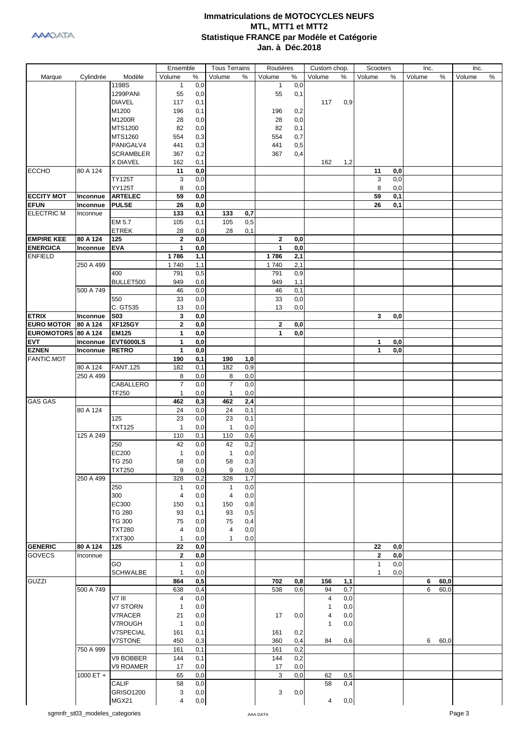|                     |           |                  | Ensemble       |          | <b>Tous Terrains</b> |              | Routières    |      | Custom chop.   |      | Scooters     |     | Inc.   |      | Inc.   |   |
|---------------------|-----------|------------------|----------------|----------|----------------------|--------------|--------------|------|----------------|------|--------------|-----|--------|------|--------|---|
| Marque              | Cylindrée | Modèle           | Volume         | %        | Volume               | %            | Volume       | $\%$ | Volume         | $\%$ | Volume       | %   | Volume | %    | Volume | % |
|                     |           | 1198S            | $\mathbf{1}$   | 0,0      |                      |              | $\mathbf{1}$ | 0,0  |                |      |              |     |        |      |        |   |
|                     |           | 1299PANI         | 55             | 0,0      |                      |              | 55           | 0,1  |                |      |              |     |        |      |        |   |
|                     |           | <b>DIAVEL</b>    | 117            | 0,1      |                      |              |              |      | 117            | 0,9  |              |     |        |      |        |   |
|                     |           | M1200            | 196            | 0,1      |                      |              | 196          | 0,2  |                |      |              |     |        |      |        |   |
|                     |           | M1200R           | 28             | 0,0      |                      |              | 28           | 0,0  |                |      |              |     |        |      |        |   |
|                     |           | MTS1200          | 82             | 0,0      |                      |              | 82           | 0,1  |                |      |              |     |        |      |        |   |
|                     |           |                  |                |          |                      |              |              |      |                |      |              |     |        |      |        |   |
|                     |           | MTS1260          | 554            | 0,3      |                      |              | 554          | 0,7  |                |      |              |     |        |      |        |   |
|                     |           | PANIGALV4        | 441            | 0,3      |                      |              | 441          | 0,5  |                |      |              |     |        |      |        |   |
|                     |           | <b>SCRAMBLER</b> | 367            | 0,2      |                      |              | 367          | 0,4  |                |      |              |     |        |      |        |   |
|                     |           | X DIAVEL         | 162            | 0,1      |                      |              |              |      | 162            | 1,2  |              |     |        |      |        |   |
| <b>ECCHO</b>        | 80 A 124  |                  | 11             | 0,0      |                      |              |              |      |                |      | 11           | 0,0 |        |      |        |   |
|                     |           | <b>TY125T</b>    | 3              | 0,0      |                      |              |              |      |                |      | 3            | 0,0 |        |      |        |   |
|                     |           | <b>YY125T</b>    | 8              | 0,0      |                      |              |              |      |                |      | 8            | 0,0 |        |      |        |   |
| <b>ECCITY MOT</b>   | Inconnue  | <b>ARTELEC</b>   | 59             | 0,0      |                      |              |              |      |                |      | 59           | 0,1 |        |      |        |   |
| <b>EFUN</b>         | Inconnue  | <b>PULSE</b>     | 26             | 0,0      |                      |              |              |      |                |      | 26           | 0,1 |        |      |        |   |
| <b>ELECTRIC M</b>   | Inconnue  |                  | 133            | 0,1      | 133                  | 0,7          |              |      |                |      |              |     |        |      |        |   |
|                     |           | EM 5.7           | 105            | 0,1      | 105                  | 0,5          |              |      |                |      |              |     |        |      |        |   |
|                     |           | <b>ETREK</b>     | 28             | 0,0      | 28                   | 0,1          |              |      |                |      |              |     |        |      |        |   |
| <b>EMPIRE KEE</b>   | 80 A 124  | 125              | $\mathbf 2$    | 0,0      |                      |              | $\mathbf{2}$ | 0,0  |                |      |              |     |        |      |        |   |
| <b>ENERGICA</b>     | Inconnue  | <b>EVA</b>       | $\mathbf{1}$   | 0,0      |                      |              | 1            | 0,0  |                |      |              |     |        |      |        |   |
| <b>ENFIELD</b>      |           |                  | 1786           | 1,1      |                      |              | 1786         | 2,1  |                |      |              |     |        |      |        |   |
|                     | 250 A 499 |                  | 1740           | 1,1      |                      |              | 1740         | 2,1  |                |      |              |     |        |      |        |   |
|                     |           |                  |                |          |                      |              |              |      |                |      |              |     |        |      |        |   |
|                     |           | 400              | 791            | 0,5      |                      |              | 791          | 0,9  |                |      |              |     |        |      |        |   |
|                     |           | BULLET500        | 949            | 0,6      |                      |              | 949          | 1,1  |                |      |              |     |        |      |        |   |
|                     | 500 A 749 |                  | 46             | 0,0      |                      |              | 46           | 0,1  |                |      |              |     |        |      |        |   |
|                     |           | 550              | 33             | 0,0      |                      |              | 33           | 0,0  |                |      |              |     |        |      |        |   |
|                     |           | C. GT535         | 13             | 0,0      |                      |              | 13           | 0,0  |                |      |              |     |        |      |        |   |
| <b>ETRIX</b>        | Inconnue  | <b>S03</b>       | 3              | 0,0      |                      |              |              |      |                |      | 3            | 0,0 |        |      |        |   |
| <b>EURO MOTOR</b>   | 80 A 124  | <b>XF125GY</b>   | $\mathbf 2$    | 0,0      |                      |              | $\mathbf{2}$ | 0,0  |                |      |              |     |        |      |        |   |
| EUROMOTORS 80 A 124 |           | <b>EM125</b>     | 1              | 0,0      |                      |              | 1            | 0,0  |                |      |              |     |        |      |        |   |
| <b>EVT</b>          | Inconnue  | <b>EVT6000LS</b> | 1              | 0,0      |                      |              |              |      |                |      | 1            | 0,0 |        |      |        |   |
| <b>EZNEN</b>        | Inconnue  | <b>RETRO</b>     | 1              | 0,0      |                      |              |              |      |                |      | $\mathbf{1}$ | 0,0 |        |      |        |   |
| <b>FANTIC.MOT</b>   |           |                  | 190            | 0,1      | 190                  | 1,0          |              |      |                |      |              |     |        |      |        |   |
|                     | 80 A 124  | <b>FANT.125</b>  | 182            | 0,1      | 182                  | 0,9          |              |      |                |      |              |     |        |      |        |   |
|                     | 250 A 499 |                  | 8              | 0,0      | 8                    | 0,0          |              |      |                |      |              |     |        |      |        |   |
|                     |           | CABALLERO        | $\overline{7}$ | 0,0      | $\overline{7}$       | 0,0          |              |      |                |      |              |     |        |      |        |   |
|                     |           | TF250            | $\mathbf{1}$   | 0,0      | $\mathbf{1}$         | 0,0          |              |      |                |      |              |     |        |      |        |   |
| <b>GAS GAS</b>      |           |                  | 462            | 0,3      | 462                  | 2,4          |              |      |                |      |              |     |        |      |        |   |
|                     | 80 A 124  |                  | 24             | 0,0      | 24                   | 0,1          |              |      |                |      |              |     |        |      |        |   |
|                     |           | 125              | 23             | 0,0      | 23                   | 0,1          |              |      |                |      |              |     |        |      |        |   |
|                     |           | <b>TXT125</b>    | 1              | 0,0      | 1                    | 0,0          |              |      |                |      |              |     |        |      |        |   |
|                     | 125 A 249 |                  | 110            | 0,1      | 110                  | 0,6          |              |      |                |      |              |     |        |      |        |   |
|                     |           | 250              | 42             | 0,0      | 42                   | 0,2          |              |      |                |      |              |     |        |      |        |   |
|                     |           | EC200            | $\mathbf{1}$   | $_{0,0}$ | $\mathbf{1}$         | $_{\rm 0,0}$ |              |      |                |      |              |     |        |      |        |   |
|                     |           | <b>TG 250</b>    | 58             | 0,0      | 58                   | 0,3          |              |      |                |      |              |     |        |      |        |   |
|                     |           | <b>TXT250</b>    | 9              | 0,0      | 9                    | 0,0          |              |      |                |      |              |     |        |      |        |   |
|                     | 250 A 499 |                  | 328            | 0,2      | 328                  | 1,7          |              |      |                |      |              |     |        |      |        |   |
|                     |           | 250              | $\mathbf{1}$   | 0,0      | 1                    | 0,0          |              |      |                |      |              |     |        |      |        |   |
|                     |           | 300              | 4              | 0,0      |                      | 0,0          |              |      |                |      |              |     |        |      |        |   |
|                     |           |                  |                |          | 4                    |              |              |      |                |      |              |     |        |      |        |   |
|                     |           | EC300            | 150            | 0,1      | 150                  | 0,8          |              |      |                |      |              |     |        |      |        |   |
|                     |           | <b>TG 280</b>    | 93             | 0,1      | 93                   | 0,5          |              |      |                |      |              |     |        |      |        |   |
|                     |           | <b>TG 300</b>    | 75             | 0,0      | 75                   | 0,4          |              |      |                |      |              |     |        |      |        |   |
|                     |           | <b>TXT280</b>    | 4              | 0,0      | 4                    | 0,0          |              |      |                |      |              |     |        |      |        |   |
|                     |           | <b>TXT300</b>    | $\mathbf{1}$   | 0,0      | $\mathbf{1}$         | 0,0          |              |      |                |      |              |     |        |      |        |   |
| <b>GENERIC</b>      | 80 A 124  | 125              | 22             | 0,0      |                      |              |              |      |                |      | 22           | 0,0 |        |      |        |   |
| <b>GOVECS</b>       | Inconnue  |                  | $\mathbf{2}$   | 0,0      |                      |              |              |      |                |      | $\bf{2}$     | 0,0 |        |      |        |   |
|                     |           | GO               | 1              | 0,0      |                      |              |              |      |                |      | $\mathbf{1}$ | 0,0 |        |      |        |   |
|                     |           | <b>SCHWALBE</b>  | 1              | 0,0      |                      |              |              |      |                |      | $\mathbf{1}$ | 0,0 |        |      |        |   |
| GUZZI               |           |                  | 864            | 0,5      |                      |              | 702          | 0,8  | 156            | 1,1  |              |     | 6      | 60,0 |        |   |
|                     | 500 A 749 |                  | 638            | 0,4      |                      |              | 538          | 0,6  | 94             | 0,7  |              |     | 6      | 60,0 |        |   |
|                     |           | V7 III           | 4              | 0,0      |                      |              |              |      | $\overline{4}$ | 0,0  |              |     |        |      |        |   |
|                     |           | V7 STORN         | $\mathbf{1}$   | 0,0      |                      |              |              |      | $\mathbf 1$    | 0,0  |              |     |        |      |        |   |
|                     |           | V7RACER          | 21             | 0,0      |                      |              | 17           | 0,0  | $\overline{4}$ | 0,0  |              |     |        |      |        |   |
|                     |           | V7ROUGH          | $\mathbf{1}$   | 0,0      |                      |              |              |      | $\mathbf{1}$   | 0,0  |              |     |        |      |        |   |
|                     |           | V7SPECIAL        | 161            | 0,1      |                      |              | 161          | 0,2  |                |      |              |     |        |      |        |   |
|                     |           | V7STONE          | 450            | 0,3      |                      |              | 360          | 0,4  | 84             | 0,6  |              |     | 6      | 60,0 |        |   |
|                     | 750 A 999 |                  | 161            | 0,1      |                      |              | 161          | 0,2  |                |      |              |     |        |      |        |   |
|                     |           | V9 BOBBER        | 144            | 0,1      |                      |              | 144          | 0,2  |                |      |              |     |        |      |        |   |
|                     |           | V9 ROAMER        | 17             | 0,0      |                      |              | 17           | 0,0  |                |      |              |     |        |      |        |   |
|                     | 1000 ET + |                  | 65             | 0,0      |                      |              | 3            | 0,0  | 62             | 0,5  |              |     |        |      |        |   |
|                     |           | <b>CALIF</b>     | 58             | 0,0      |                      |              |              |      | 58             | 0,4  |              |     |        |      |        |   |
|                     |           | <b>GRISO1200</b> | 3              | 0,0      |                      |              | 3            | 0,0  |                |      |              |     |        |      |        |   |
|                     |           |                  | 4              |          |                      |              |              |      | 4              |      |              |     |        |      |        |   |
|                     |           | MGX21            |                | 0,0      |                      |              |              |      |                | 0,0  |              |     |        |      |        |   |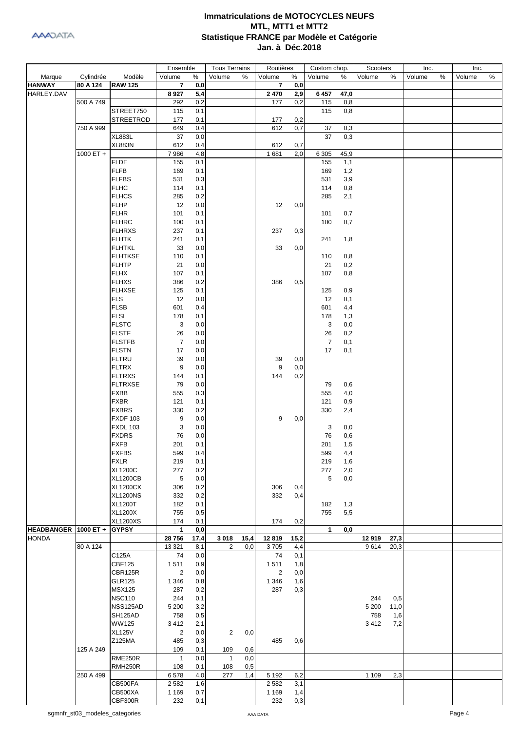

|                        |           |                                | Ensemble       |            | <b>Tous Terrains</b> |      | Routières               |            | Custom chop.   |            | Scooters |      | Inc.   |   | Inc.   |   |
|------------------------|-----------|--------------------------------|----------------|------------|----------------------|------|-------------------------|------------|----------------|------------|----------|------|--------|---|--------|---|
| Marque                 | Cylindrée | Modèle                         | Volume         | %          | Volume               | %    | Volume                  | %          | Volume         | %          | Volume   | %    | Volume | % | Volume | % |
| <b>HANWAY</b>          | 80 A 124  | <b>RAW 125</b>                 | $\overline{7}$ | 0,0        |                      |      | $\overline{\mathbf{r}}$ | 0,0        |                |            |          |      |        |   |        |   |
| HARLEY.DAV             |           |                                | 8927           | 5,4        |                      |      | 2 4 7 0                 | 2,9        | 6457           | 47,0       |          |      |        |   |        |   |
|                        | 500 A 749 |                                | 292            | 0,2        |                      |      | 177                     | 0,2        | 115            | 0,8        |          |      |        |   |        |   |
|                        |           | STREET750                      | 115            | 0,1        |                      |      |                         |            | 115            | 0,8        |          |      |        |   |        |   |
|                        |           | <b>STREETROD</b>               | 177            | 0,1        |                      |      | 177                     | 0,2        |                |            |          |      |        |   |        |   |
|                        | 750 A 999 | <b>XL883L</b>                  | 649<br>37      | 0,4        |                      |      | 612                     | 0,7        | 37<br>37       | 0,3        |          |      |        |   |        |   |
|                        |           | <b>XL883N</b>                  | 612            | 0,0<br>0,4 |                      |      | 612                     | 0,7        |                | 0,3        |          |      |        |   |        |   |
|                        | 1000 ET + |                                | 7986           | 4,8        |                      |      | 1681                    | 2,0        | 6 3 0 5        | 45,9       |          |      |        |   |        |   |
|                        |           | <b>FLDE</b>                    | 155            | 0,1        |                      |      |                         |            | 155            | 1,1        |          |      |        |   |        |   |
|                        |           | <b>FLFB</b>                    | 169            | 0,1        |                      |      |                         |            | 169            | 1,2        |          |      |        |   |        |   |
|                        |           | <b>FLFBS</b>                   | 531            | 0,3        |                      |      |                         |            | 531            | 3,9        |          |      |        |   |        |   |
|                        |           | <b>FLHC</b>                    | 114            | 0,1        |                      |      |                         |            | 114            | 0,8        |          |      |        |   |        |   |
|                        |           | <b>FLHCS</b>                   | 285            | 0,2        |                      |      |                         |            | 285            | 2,1        |          |      |        |   |        |   |
|                        |           | <b>FLHP</b>                    | 12             | 0,0        |                      |      | 12                      | 0,0        |                |            |          |      |        |   |        |   |
|                        |           | <b>FLHR</b>                    | 101            | 0,1        |                      |      |                         |            | 101            | 0,7        |          |      |        |   |        |   |
|                        |           | <b>FLHRC</b>                   | 100            | 0,1        |                      |      |                         |            | 100            | 0,7        |          |      |        |   |        |   |
|                        |           | <b>FLHRXS</b>                  | 237            | 0,1        |                      |      | 237                     | 0,3        |                |            |          |      |        |   |        |   |
|                        |           | <b>FLHTK</b>                   | 241            | 0,1        |                      |      |                         |            | 241            | 1,8        |          |      |        |   |        |   |
|                        |           | <b>FLHTKL</b>                  | 33             | 0,0        |                      |      | 33                      | 0,0        |                |            |          |      |        |   |        |   |
|                        |           | <b>FLHTKSE</b>                 | 110            | 0,1        |                      |      |                         |            | 110            | 0,8        |          |      |        |   |        |   |
|                        |           | <b>FLHTP</b>                   | 21             | 0,0        |                      |      |                         |            | 21             | 0,2        |          |      |        |   |        |   |
|                        |           | <b>FLHX</b>                    | 107            | 0,1        |                      |      |                         |            | 107            | 0,8        |          |      |        |   |        |   |
|                        |           | <b>FLHXS</b>                   | 386            | 0,2        |                      |      | 386                     | 0,5        |                |            |          |      |        |   |        |   |
|                        |           | <b>FLHXSE</b><br><b>FLS</b>    | 125<br>12      | 0,1        |                      |      |                         |            | 125<br>12      | 0,9        |          |      |        |   |        |   |
|                        |           | <b>FLSB</b>                    | 601            | 0,0<br>0,4 |                      |      |                         |            | 601            | 0,1<br>4,4 |          |      |        |   |        |   |
|                        |           | <b>FLSL</b>                    | 178            | 0,1        |                      |      |                         |            | 178            | 1,3        |          |      |        |   |        |   |
|                        |           | <b>FLSTC</b>                   | 3              | 0,0        |                      |      |                         |            | 3              | 0,0        |          |      |        |   |        |   |
|                        |           | <b>FLSTF</b>                   | 26             | 0,0        |                      |      |                         |            | 26             | 0,2        |          |      |        |   |        |   |
|                        |           | <b>FLSTFB</b>                  | $\overline{7}$ | 0,0        |                      |      |                         |            | $\overline{7}$ | 0,1        |          |      |        |   |        |   |
|                        |           | <b>FLSTN</b>                   | 17             | 0,0        |                      |      |                         |            | 17             | 0,1        |          |      |        |   |        |   |
|                        |           | <b>FLTRU</b>                   | 39             | 0,0        |                      |      | 39                      | 0,0        |                |            |          |      |        |   |        |   |
|                        |           | <b>FLTRX</b>                   | 9              | 0,0        |                      |      | 9                       | 0,0        |                |            |          |      |        |   |        |   |
|                        |           | <b>FLTRXS</b>                  | 144            | 0,1        |                      |      | 144                     | 0,2        |                |            |          |      |        |   |        |   |
|                        |           | <b>FLTRXSE</b>                 | 79             | 0,0        |                      |      |                         |            | 79             | 0,6        |          |      |        |   |        |   |
|                        |           | <b>FXBB</b>                    | 555            | 0,3        |                      |      |                         |            | 555            | 4,0        |          |      |        |   |        |   |
|                        |           | <b>FXBR</b>                    | 121            | 0,1        |                      |      |                         |            | 121            | 0,9        |          |      |        |   |        |   |
|                        |           | <b>FXBRS</b>                   | 330            | 0,2        |                      |      |                         |            | 330            | 2,4        |          |      |        |   |        |   |
|                        |           | <b>FXDF 103</b>                | 9              | 0,0        |                      |      | 9                       | 0,0        |                |            |          |      |        |   |        |   |
|                        |           | <b>FXDL 103</b>                | 3              | 0,0        |                      |      |                         |            | 3              | 0,0        |          |      |        |   |        |   |
|                        |           | <b>FXDRS</b>                   | 76             | 0,0        |                      |      |                         |            | 76             | 0,6        |          |      |        |   |        |   |
|                        |           | <b>FXFB</b><br><b>FXFBS</b>    | 201            | 0,1        |                      |      |                         |            | 201            | 1,5        |          |      |        |   |        |   |
|                        |           | <b>FXLR</b>                    | 599<br>219     | 0,4        |                      |      |                         |            | 599<br>219     | 4,4<br>1,6 |          |      |        |   |        |   |
|                        |           | <b>XL1200C</b>                 | 277            | 0,1<br>0,2 |                      |      |                         |            | 277            | 2,0        |          |      |        |   |        |   |
|                        |           | <b>XL1200CB</b>                | 5              | 0,0        |                      |      |                         |            | 5              | 0,0        |          |      |        |   |        |   |
|                        |           | <b>XL1200CX</b>                | 306            | 0,2        |                      |      | 306                     | 0,4        |                |            |          |      |        |   |        |   |
|                        |           | <b>XL1200NS</b>                | 332            | 0,2        |                      |      | 332                     | 0,4        |                |            |          |      |        |   |        |   |
|                        |           | <b>XL1200T</b>                 | 182            | 0,1        |                      |      |                         |            | 182            | 1,3        |          |      |        |   |        |   |
|                        |           | <b>XL1200X</b>                 | 755            | 0,5        |                      |      |                         |            | 755            | 5,5        |          |      |        |   |        |   |
|                        |           | <b>XL1200XS</b>                | 174            | 0,1        |                      |      | 174                     | 0,2        |                |            |          |      |        |   |        |   |
| HEADBANGER   1000 ET + |           | <b>GYPSY</b>                   | 1              | 0,0        |                      |      |                         |            | 1              | 0,0        |          |      |        |   |        |   |
| <b>HONDA</b>           |           |                                | 28756          | 17,4       | 3018                 | 15,4 | 12819                   | 15,2       |                |            | 12919    | 27,3 |        |   |        |   |
|                        | 80 A 124  |                                | 13 3 21        | 8,1        | 2                    | 0,0  | 3705                    | 4,4        |                |            | 9614     | 20,3 |        |   |        |   |
|                        |           | C125A                          | 74             | 0,0        |                      |      | 74                      | 0,1        |                |            |          |      |        |   |        |   |
|                        |           | <b>CBF125</b>                  | 1511           | 0,9        |                      |      | 1511                    | 1,8        |                |            |          |      |        |   |        |   |
|                        |           | CBR125R                        | $\overline{2}$ | 0,0        |                      |      | 2                       | 0,0        |                |            |          |      |        |   |        |   |
|                        |           | <b>GLR125</b><br><b>MSX125</b> | 1 3 4 6<br>287 | 0,8        |                      |      | 1 3 4 6<br>287          | 1,6<br>0,3 |                |            |          |      |        |   |        |   |
|                        |           | <b>NSC110</b>                  | 244            | 0,2<br>0,1 |                      |      |                         |            |                |            | 244      | 0,5  |        |   |        |   |
|                        |           | NSS125AD                       | 5 200          | 3,2        |                      |      |                         |            |                |            | 5 200    | 11,0 |        |   |        |   |
|                        |           | SH125AD                        | 758            | 0,5        |                      |      |                         |            |                |            | 758      | 1,6  |        |   |        |   |
|                        |           | WW125                          | 3412           | 2,1        |                      |      |                         |            |                |            | 3412     | 7,2  |        |   |        |   |
|                        |           | <b>XL125V</b>                  | $\overline{2}$ | 0,0        | $\overline{2}$       | 0,0  |                         |            |                |            |          |      |        |   |        |   |
|                        |           | Z125MA                         | 485            | 0,3        |                      |      | 485                     | 0,6        |                |            |          |      |        |   |        |   |
|                        | 125 A 249 |                                | 109            | 0,1        | 109                  | 0,6  |                         |            |                |            |          |      |        |   |        |   |
|                        |           | RME250R                        | $\mathbf{1}$   | 0,0        | $\mathbf{1}$         | 0,0  |                         |            |                |            |          |      |        |   |        |   |
|                        |           | RMH250R                        | 108            | 0,1        | 108                  | 0,5  |                         |            |                |            |          |      |        |   |        |   |
|                        | 250 A 499 |                                | 6578           | 4,0        | 277                  | 1,4  | 5 1 9 2                 | 6,2        |                |            | 1 1 0 9  | 2,3  |        |   |        |   |
|                        |           | CB500FA                        | 2 5 8 2        | 1,6        |                      |      | 2 5 8 2                 | 3,1        |                |            |          |      |        |   |        |   |
|                        |           | CB500XA                        | 1 1 6 9        | 0,7        |                      |      | 1 1 6 9                 | 1,4        |                |            |          |      |        |   |        |   |
|                        |           | CBF300R                        | 232            | 0,1        |                      |      | 232                     | 0,3        |                |            |          |      |        |   |        |   |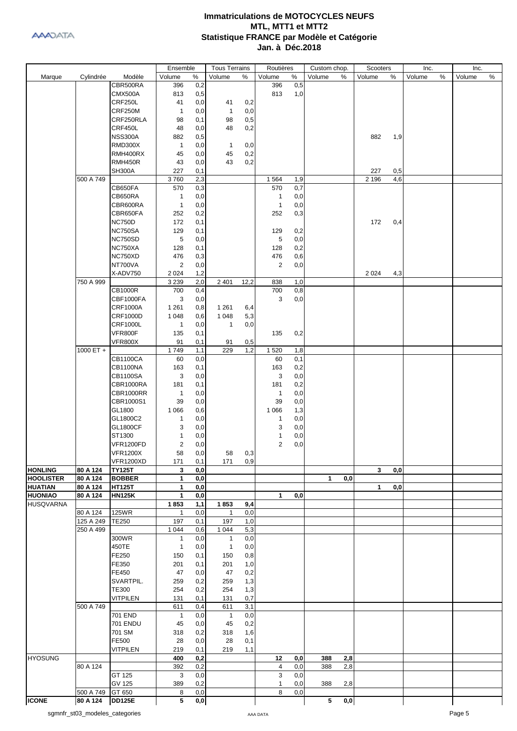

|                  |                        |                  | Ensemble            |            | <b>Tous Terrains</b> |            | Routières      |            | Custom chop. |                         | Scooters |     | Inc.   |               | Inc.   |   |
|------------------|------------------------|------------------|---------------------|------------|----------------------|------------|----------------|------------|--------------|-------------------------|----------|-----|--------|---------------|--------|---|
| Marque           | Cylindrée              | Modèle           | Volume              | $\%$       | Volume               | %          | Volume         | $\%$       | Volume       | $\%$                    | Volume   | %   | Volume | $\frac{0}{0}$ | Volume | % |
|                  |                        | CBR500RA         | 396                 | 0,2        |                      |            | 396            | 0,5        |              |                         |          |     |        |               |        |   |
|                  |                        | CMX500A          | 813                 | 0,5        |                      |            | 813            | 1,0        |              |                         |          |     |        |               |        |   |
|                  |                        | CRF250L          | 41                  | 0,0        | 41                   | 0,2        |                |            |              |                         |          |     |        |               |        |   |
|                  |                        | CRF250M          | $\overline{1}$      | 0,0        | $\mathbf{1}$         | 0,0        |                |            |              |                         |          |     |        |               |        |   |
|                  |                        | CRF250RLA        |                     |            |                      | 0,5        |                |            |              |                         |          |     |        |               |        |   |
|                  |                        |                  | 98                  | 0,1        | 98                   |            |                |            |              |                         |          |     |        |               |        |   |
|                  |                        | CRF450L          | 48                  | 0,0        | 48                   | 0,2        |                |            |              |                         |          |     |        |               |        |   |
|                  |                        | <b>NSS300A</b>   | 882                 | 0,5        |                      |            |                |            |              |                         | 882      | 1,9 |        |               |        |   |
|                  |                        | <b>RMD300X</b>   | $\mathbf{1}$        | 0,0        | $\mathbf{1}$         | 0,0        |                |            |              |                         |          |     |        |               |        |   |
|                  |                        | RMH400RX         | 45                  | 0,0        | 45                   | 0,2        |                |            |              |                         |          |     |        |               |        |   |
|                  |                        | RMH450R          | 43                  | 0,0        | 43                   | 0,2        |                |            |              |                         |          |     |        |               |        |   |
|                  |                        | <b>SH300A</b>    | 227                 | 0,1        |                      |            |                |            |              |                         | 227      | 0,5 |        |               |        |   |
|                  | 500 A 749              |                  | 3760                | 2,3        |                      |            | 1 5 6 4        | 1,9        |              |                         | 2 1 9 6  | 4,6 |        |               |        |   |
|                  |                        | CB650FA          | 570                 | 0,3        |                      |            | 570            | 0,7        |              |                         |          |     |        |               |        |   |
|                  |                        | CB650RA          | $\overline{1}$      | 0,0        |                      |            | $\mathbf{1}$   | 0,0        |              |                         |          |     |        |               |        |   |
|                  |                        | CBR600RA         | $\overline{1}$      | 0,0        |                      |            | $\overline{1}$ | 0,0        |              |                         |          |     |        |               |        |   |
|                  |                        | CBR650FA         | 252                 | 0,2        |                      |            | 252            | 0,3        |              |                         |          |     |        |               |        |   |
|                  |                        | <b>NC750D</b>    | 172                 | 0,1        |                      |            |                |            |              |                         | 172      | 0,4 |        |               |        |   |
|                  |                        | <b>NC750SA</b>   | 129                 | 0,1        |                      |            | 129            | 0,2        |              |                         |          |     |        |               |        |   |
|                  |                        | <b>NC750SD</b>   | 5                   | 0,0        |                      |            | 5              | 0,0        |              |                         |          |     |        |               |        |   |
|                  |                        | NC750XA          | 128                 | 0,1        |                      |            | 128            | 0,2        |              |                         |          |     |        |               |        |   |
|                  |                        | NC750XD          | 476                 | 0,3        |                      |            | 476            | 0,6        |              |                         |          |     |        |               |        |   |
|                  |                        | NT700VA          | $\overline{2}$      | 0,0        |                      |            | 2              | 0,0        |              |                         |          |     |        |               |        |   |
|                  |                        | X-ADV750         | 2 0 2 4             | 1,2        |                      |            |                |            |              |                         | 2 0 2 4  | 4,3 |        |               |        |   |
|                  | 750 A 999              |                  | 3 2 3 9             | 2,0        | 2 4 0 1              | 12,2       | 838            | 1,0        |              |                         |          |     |        |               |        |   |
|                  |                        | <b>CB1000R</b>   | 700                 | 0,4        |                      |            | 700            | 0,8        |              |                         |          |     |        |               |        |   |
|                  |                        | CBF1000FA        | 3                   | 0,0        |                      |            | 3              | 0,0        |              |                         |          |     |        |               |        |   |
|                  |                        | <b>CRF1000A</b>  | 1 2 6 1             | 0,8        | 1 2 6 1              | 6,4        |                |            |              |                         |          |     |        |               |        |   |
|                  |                        | <b>CRF1000D</b>  | 1 0 4 8             | 0,6        | 1 0 4 8              | 5,3        |                |            |              |                         |          |     |        |               |        |   |
|                  |                        | <b>CRF1000L</b>  | $\overline{1}$      | 0,0        | 1                    | 0,0        |                |            |              |                         |          |     |        |               |        |   |
|                  |                        | VFR800F          | 135                 | 0,1        |                      |            | 135            |            |              |                         |          |     |        |               |        |   |
|                  |                        | <b>VFR800X</b>   | 91                  | 0,1        | 91                   | 0,5        |                | 0,2        |              |                         |          |     |        |               |        |   |
|                  | 1000 ET +              |                  | 1749                | 1,1        | 229                  | 1,2        | 1 5 2 0        | 1,8        |              |                         |          |     |        |               |        |   |
|                  |                        | <b>CB1100CA</b>  | 60                  | 0,0        |                      |            | 60             | 0,1        |              |                         |          |     |        |               |        |   |
|                  |                        | CB1100NA         | 163                 | 0,1        |                      |            | 163            | 0,2        |              |                         |          |     |        |               |        |   |
|                  |                        | <b>CB1100SA</b>  | 3                   | 0,0        |                      |            | 3              | 0,0        |              |                         |          |     |        |               |        |   |
|                  |                        | CBR1000RA        | 181                 | 0,1        |                      |            | 181            | 0,2        |              |                         |          |     |        |               |        |   |
|                  |                        | CBR1000RR        | $\overline{1}$      | 0,0        |                      |            | $\overline{1}$ | 0,0        |              |                         |          |     |        |               |        |   |
|                  |                        | CBR1000S1        |                     | 0,0        |                      |            |                | 0,0        |              |                         |          |     |        |               |        |   |
|                  |                        |                  | 39                  |            |                      |            | 39             |            |              |                         |          |     |        |               |        |   |
|                  |                        | GL1800           | 1 0 6 6             | 0,6        |                      |            | 1 0 6 6        | 1,3        |              |                         |          |     |        |               |        |   |
|                  |                        | GL1800C2         | $\mathbf{1}$        | 0,0        |                      |            | 1              | 0,0        |              |                         |          |     |        |               |        |   |
|                  |                        | <b>GL1800CF</b>  | 3                   | 0,0        |                      |            | 3              | 0,0        |              |                         |          |     |        |               |        |   |
|                  |                        | ST1300           | 1                   | 0,0        |                      |            | 1              | 0,0        |              |                         |          |     |        |               |        |   |
|                  |                        | <b>VFR1200FD</b> | 2                   | 0,0        |                      |            | $\overline{2}$ | 0,0        |              |                         |          |     |        |               |        |   |
|                  |                        | <b>VFR1200X</b>  | 58                  | 0,0        | 58                   | 0,3        |                |            |              |                         |          |     |        |               |        |   |
|                  |                        | <b>VFR1200XD</b> | 171                 | 0,1        | 171                  | 0,9        |                |            |              |                         |          |     |        |               |        |   |
| <b>HONLING</b>   | 80 A 124               | <b>TY125T</b>    | 3                   | 0,0        |                      |            |                |            |              |                         | 3        | 0,0 |        |               |        |   |
| <b>HOOLISTER</b> | 80 A 124               | <b>BOBBER</b>    | 1                   | 0,0        |                      |            |                |            | 1            | 0,0                     |          |     |        |               |        |   |
| <b>HUATIAN</b>   | 80 A 124<br>80 A 124   | <b>HT125T</b>    | 1                   | 0,0        |                      |            |                |            |              |                         | 1        | 0,0 |        |               |        |   |
| <b>HUONIAO</b>   |                        | <b>HN125K</b>    | 1                   | 0,0        |                      |            | $\mathbf{1}$   | 0,0        |              |                         |          |     |        |               |        |   |
| <b>HUSQVARNA</b> | 80 A 124               | <b>125WR</b>     | 1853                | 1,1        | 1853                 | 9,4        |                |            |              |                         |          |     |        |               |        |   |
|                  |                        |                  | $\mathbf{1}$        | 0,0        | 1                    | 0,0        |                |            |              |                         |          |     |        |               |        |   |
|                  | 125 A 249<br>250 A 499 | <b>TE250</b>     | 197<br>1 0 4 4      | 0,1<br>0,6 | 197<br>1 0 4 4       | 1,0<br>5,3 |                |            |              |                         |          |     |        |               |        |   |
|                  |                        | 300WR            | $\mathbf{1}$        | 0,0        | 1                    | 0,0        |                |            |              |                         |          |     |        |               |        |   |
|                  |                        | 450TE            |                     | 0,0        |                      | 0,0        |                |            |              |                         |          |     |        |               |        |   |
|                  |                        | FE250            | $\mathbf{1}$        |            | $\mathbf{1}$         |            |                |            |              |                         |          |     |        |               |        |   |
|                  |                        |                  | 150                 | 0,1        | 150                  | 0,8        |                |            |              |                         |          |     |        |               |        |   |
|                  |                        | FE350<br>FE450   | 201                 | 0,1        | 201                  | 1,0        |                |            |              |                         |          |     |        |               |        |   |
|                  |                        |                  | 47                  | 0,0        | 47                   | 0,2        |                |            |              |                         |          |     |        |               |        |   |
|                  |                        | SVARTPIL.        | 259                 | 0,2        | 259                  | 1,3        |                |            |              |                         |          |     |        |               |        |   |
|                  |                        | TE300            | 254                 | 0,2        | 254                  | 1,3        |                |            |              |                         |          |     |        |               |        |   |
|                  |                        | <b>VITPILEN</b>  | 131                 | 0,1        | 131                  | 0,7        |                |            |              |                         |          |     |        |               |        |   |
|                  | 500 A 749              | 701 END          | 611<br>$\mathbf{1}$ | 0,4        | 611                  | 3,1<br>0,0 |                |            |              |                         |          |     |        |               |        |   |
|                  |                        | <b>701 ENDU</b>  |                     | 0,0        | $\mathbf{1}$         |            |                |            |              |                         |          |     |        |               |        |   |
|                  |                        | 701 SM           | 45                  | 0,0        | 45                   | 0,2        |                |            |              |                         |          |     |        |               |        |   |
|                  |                        | FE500            | 318                 | 0,2        | 318                  | 1,6        |                |            |              |                         |          |     |        |               |        |   |
|                  |                        |                  | 28                  | 0,0        | 28                   | 0,1        |                |            |              |                         |          |     |        |               |        |   |
| <b>HYOSUNG</b>   |                        | <b>VITPILEN</b>  | 219                 | 0,1        | 219                  | 1,1        |                |            |              |                         |          |     |        |               |        |   |
|                  | 80 A 124               |                  | 400<br>392          | 0,2<br>0,2 |                      |            | 12<br>4        | 0,0<br>0,0 | 388<br>388   | 2,8<br>2,8              |          |     |        |               |        |   |
|                  |                        | GT 125           | 3                   | 0,0        |                      |            | 3              | 0,0        |              |                         |          |     |        |               |        |   |
|                  |                        | <b>GV 125</b>    | 389                 | 0,2        |                      |            | 1              | 0,0        | 388          | 2,8                     |          |     |        |               |        |   |
|                  | 500 A 749              | GT 650           | 8                   | 0,0        |                      |            | 8              | 0,0        |              |                         |          |     |        |               |        |   |
| <b>ICONE</b>     | 80 A 124               | <b>DD125E</b>    | 5                   | 0,0        |                      |            |                |            | 5            | $\mathbf{0},\mathbf{0}$ |          |     |        |               |        |   |
|                  |                        |                  |                     |            |                      |            |                |            |              |                         |          |     |        |               |        |   |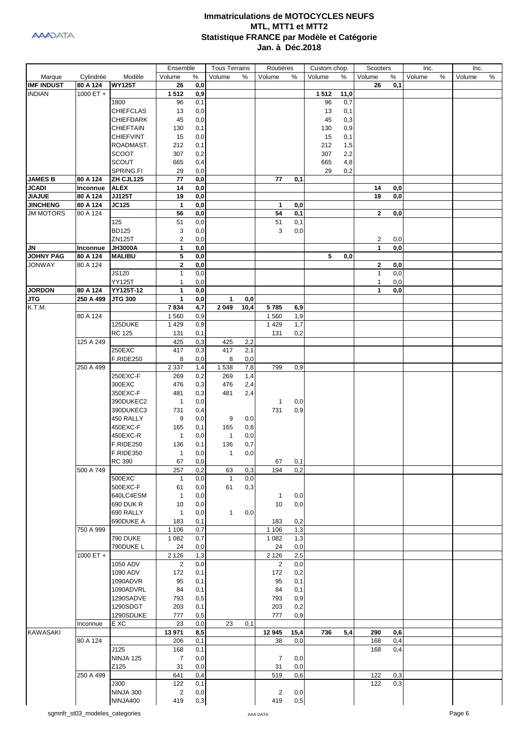

|                                   |                      |                              | Ensemble              |            | <b>Tous Terrains</b> |            | Routières      |            | Custom chop. |            | Scooters     |            | Inc.   |   | Inc.   |      |
|-----------------------------------|----------------------|------------------------------|-----------------------|------------|----------------------|------------|----------------|------------|--------------|------------|--------------|------------|--------|---|--------|------|
| Marque                            | Cylindrée            | Modèle                       | Volume                | %          | Volume               | %          | Volume         | %          | Volume       | %          | Volume       | %          | Volume | % | Volume | $\%$ |
| <b>IMF INDUST</b>                 | 80 A 124             | <b>WY125T</b>                | 26                    | 0,0        |                      |            |                |            |              |            | 26           | 0,1        |        |   |        |      |
| <b>INDIAN</b>                     | 1000 ET $+$          |                              | 1512                  | 0,9        |                      |            |                |            | 1512         | 11,0       |              |            |        |   |        |      |
|                                   |                      | 1800<br><b>CHIEFCLAS</b>     | 96<br>13              | 0,1<br>0,0 |                      |            |                |            | 96<br>13     | 0,7<br>0,1 |              |            |        |   |        |      |
|                                   |                      | <b>CHIEFDARK</b>             | 45                    | 0,0        |                      |            |                |            | 45           | 0,3        |              |            |        |   |        |      |
|                                   |                      | <b>CHIEFTAIN</b>             | 130                   | 0,1        |                      |            |                |            | 130          | 0,9        |              |            |        |   |        |      |
|                                   |                      | <b>CHIEFVINT</b>             | 15                    | 0,0        |                      |            |                |            | 15           | 0,1        |              |            |        |   |        |      |
|                                   |                      | ROADMAST.                    | 212                   | 0,1        |                      |            |                |            | 212          | 1,5        |              |            |        |   |        |      |
|                                   |                      | <b>SCOOT</b>                 | 307                   | 0,2        |                      |            |                |            | 307          | 2,2        |              |            |        |   |        |      |
|                                   |                      | <b>SCOUT</b>                 | 665                   | 0,4        |                      |            |                |            | 665          | 4,8        |              |            |        |   |        |      |
|                                   |                      | SPRING.FI                    | 29                    | 0,0        |                      |            |                |            | 29           | 0,2        |              |            |        |   |        |      |
| <b>JAMES B</b><br><b>JCADI</b>    | 80 A 124             | ZH CJL125                    | 77<br>14              | 0,0        |                      |            | 77             | 0,1        |              |            | 14           |            |        |   |        |      |
| <b>JIAJUE</b>                     | Inconnue<br>80 A 124 | <b>ALEX</b><br><b>JJ125T</b> | 19                    | 0,0<br>0,0 |                      |            |                |            |              |            | 19           | 0,0<br>0,0 |        |   |        |      |
| <b>JINCHENG</b>                   | 80 A 124             | <b>JC125</b>                 | $\mathbf{1}$          | 0,0        |                      |            | $\mathbf{1}$   | 0,0        |              |            |              |            |        |   |        |      |
| <b>JM MOTORS</b>                  | 80 A 124             |                              | 56                    | 0,0        |                      |            | 54             | 0,1        |              |            | $\mathbf{2}$ | 0,0        |        |   |        |      |
|                                   |                      | 125                          | 51                    | 0,0        |                      |            | 51             | 0,1        |              |            |              |            |        |   |        |      |
|                                   |                      | <b>BD125</b>                 | 3                     | 0,0        |                      |            | 3              | 0,0        |              |            |              |            |        |   |        |      |
|                                   |                      | ZN125T                       | $\overline{c}$        | 0,0        |                      |            |                |            |              |            | 2            | 0,0        |        |   |        |      |
| <b>JN</b>                         | Inconnue             | <b>JH3000A</b>               | 1                     | 0,0        |                      |            |                |            |              |            | 1            | 0,0        |        |   |        |      |
| <b>JOHNY PAG</b><br><b>JONWAY</b> | 80 A 124<br>80 A 124 | <b>MALIBU</b>                | 5<br>$\mathbf{2}$     | 0,0<br>0,0 |                      |            |                |            | 5            | 0,0        | $\mathbf{2}$ | 0,0        |        |   |        |      |
|                                   |                      | JS120                        | $\mathbf{1}$          | 0,0        |                      |            |                |            |              |            | $\mathbf{1}$ | 0,0        |        |   |        |      |
|                                   |                      | <b>YY125T</b>                | 1                     | 0,0        |                      |            |                |            |              |            | 1            | 0,0        |        |   |        |      |
| <b>JORDON</b>                     | 80 A 124             | YY125T-12                    | 1                     | 0,0        |                      |            |                |            |              |            | 1            | 0,0        |        |   |        |      |
| <b>JTG</b>                        | 250 A 499            | <b>JTG 300</b>               | $\mathbf{1}$          | 0,0        | 1                    | 0,0        |                |            |              |            |              |            |        |   |        |      |
| K.T.M.                            |                      |                              | 7834                  | 4,7        | 2049                 | 10,4       | 5785           | 6,9        |              |            |              |            |        |   |        |      |
|                                   | 80 A 124             |                              | 1 5 6 0               | 0,9        |                      |            | 1 5 6 0        | 1,9        |              |            |              |            |        |   |        |      |
|                                   |                      | 125DUKE                      | 1 4 2 9               | 0,9        |                      |            | 1 4 2 9        | 1,7        |              |            |              |            |        |   |        |      |
|                                   | 125 A 249            | <b>RC 125</b>                | 131<br>425            | 0,1<br>0,3 | 425                  | 2,2        | 131            | 0,2        |              |            |              |            |        |   |        |      |
|                                   |                      | 250EXC                       | 417                   | 0,3        | 417                  | 2,1        |                |            |              |            |              |            |        |   |        |      |
|                                   |                      | <b>F.RIDE250</b>             | 8                     | 0,0        | 8                    | 0,0        |                |            |              |            |              |            |        |   |        |      |
|                                   | 250 A 499            |                              | 2 3 3 7               | 1,4        | 1538                 | 7,8        | 799            | 0,9        |              |            |              |            |        |   |        |      |
|                                   |                      | 250EXC-F                     | 269                   | 0,2        | 269                  | 1,4        |                |            |              |            |              |            |        |   |        |      |
|                                   |                      | 300EXC                       | 476                   | 0,3        | 476                  | 2,4        |                |            |              |            |              |            |        |   |        |      |
|                                   |                      | 350EXC-F                     | 481                   | 0,3        | 481                  | 2,4        |                |            |              |            |              |            |        |   |        |      |
|                                   |                      | 390DUKEC2<br>390DUKEC3       | $\mathbf{1}$<br>731   | 0,0<br>0,4 |                      |            | 1<br>731       | 0,0<br>0,9 |              |            |              |            |        |   |        |      |
|                                   |                      | 450 RALLY                    | 9                     | 0,0        | 9                    | 0,0        |                |            |              |            |              |            |        |   |        |      |
|                                   |                      | 450EXC-F                     | 165                   | 0,1        | 165                  | 0,8        |                |            |              |            |              |            |        |   |        |      |
|                                   |                      | 450EXC-R                     | $\mathbf{1}$          | 0,0        | $\mathbf{1}$         | 0,0        |                |            |              |            |              |            |        |   |        |      |
|                                   |                      | <b>F.RIDE250</b>             | 136                   | 0,1        | 136                  | 0,7        |                |            |              |            |              |            |        |   |        |      |
|                                   |                      | F.RIDE350                    | $\mathbf{1}$          | 0,0        | 1                    | 0,0        |                |            |              |            |              |            |        |   |        |      |
|                                   |                      | <b>RC 390</b>                | 67                    | 0,0        |                      |            | 67             | 0,1        |              |            |              |            |        |   |        |      |
|                                   | 500 A 749            | 500EXC                       | 257                   | 0,2        | 63<br>$\mathbf{1}$   | 0,3        | 194            | 0,2        |              |            |              |            |        |   |        |      |
|                                   |                      | 500EXC-F                     | 1<br>61               | 0,0<br>0,0 | 61                   | 0,0<br>0,3 |                |            |              |            |              |            |        |   |        |      |
|                                   |                      | 640LC4ESM                    | $\mathbf{1}$          | 0,0        |                      |            | 1              | 0,0        |              |            |              |            |        |   |        |      |
|                                   |                      | 690 DUK R                    | 10                    | 0, 0       |                      |            | 10             | 0,0        |              |            |              |            |        |   |        |      |
|                                   |                      | 690 RALLY                    | $\mathbf{1}$          | 0, 0       | 1                    | 0,0        |                |            |              |            |              |            |        |   |        |      |
|                                   |                      | 690DUKE A                    | 183                   | 0,1        |                      |            | 183            | 0,2        |              |            |              |            |        |   |        |      |
|                                   | 750 A 999            |                              | 1 1 0 6               | 0,7        |                      |            | 1 1 0 6        | 1,3        |              |            |              |            |        |   |        |      |
|                                   |                      | <b>790 DUKE</b>              | 1 0 8 2               | 0,7        |                      |            | 1 0 8 2        | 1,3        |              |            |              |            |        |   |        |      |
|                                   | 1000 ET +            | 790DUKE L                    | 24<br>2 1 2 6         | 0,0<br>1,3 |                      |            | 24<br>2 1 2 6  | 0,0<br>2,5 |              |            |              |            |        |   |        |      |
|                                   |                      | 1050 ADV                     | 2                     | 0,0        |                      |            | 2              | 0,0        |              |            |              |            |        |   |        |      |
|                                   |                      | 1090 ADV                     | 172                   | 0,1        |                      |            | 172            | 0,2        |              |            |              |            |        |   |        |      |
|                                   |                      | 1090ADVR                     | 95                    | 0,1        |                      |            | 95             | 0,1        |              |            |              |            |        |   |        |      |
|                                   |                      | 1090ADVRL                    | 84                    | 0,1        |                      |            | 84             | 0,1        |              |            |              |            |        |   |        |      |
|                                   |                      | 1290SADVE                    | 793                   | 0,5        |                      |            | 793            | 0,9        |              |            |              |            |        |   |        |      |
|                                   |                      | 1290SDGT                     | 203                   | 0,1        |                      |            | 203            | 0,2        |              |            |              |            |        |   |        |      |
|                                   | Inconnue             | 1290SDUKE<br>E XC            | 777<br>23             | 0,5<br>0,0 | 23                   | 0,1        | 777            | 0,9        |              |            |              |            |        |   |        |      |
| <b>KAWASAKI</b>                   |                      |                              | 13 971                | 8,5        |                      |            | 12 945         | 15,4       | 736          | 5,4        | 290          | 0,6        |        |   |        |      |
|                                   | 80 A 124             |                              | 206                   | 0,1        |                      |            | 38             | 0,0        |              |            | 168          | 0,4        |        |   |        |      |
|                                   |                      | J125                         | 168                   | 0,1        |                      |            |                |            |              |            | 168          | 0,4        |        |   |        |      |
|                                   |                      | NINJA 125                    | $\overline{7}$        | 0,0        |                      |            | $\overline{7}$ | 0,0        |              |            |              |            |        |   |        |      |
|                                   |                      | Z125                         | 31                    | 0,0        |                      |            | 31             | 0,0        |              |            |              |            |        |   |        |      |
|                                   | 250 A 499            |                              | 641                   | 0,4        |                      |            | 519            | 0,6        |              |            | 122          | 0,3        |        |   |        |      |
|                                   |                      | J300<br><b>NINJA 300</b>     | 122<br>$\overline{2}$ | 0,1<br>0,0 |                      |            | $\overline{2}$ | 0,0        |              |            | 122          | 0,3        |        |   |        |      |
|                                   |                      | NINJA400                     | 419                   | 0,3        |                      |            | 419            | 0,5        |              |            |              |            |        |   |        |      |
|                                   |                      |                              |                       |            |                      |            |                |            |              |            |              |            |        |   |        |      |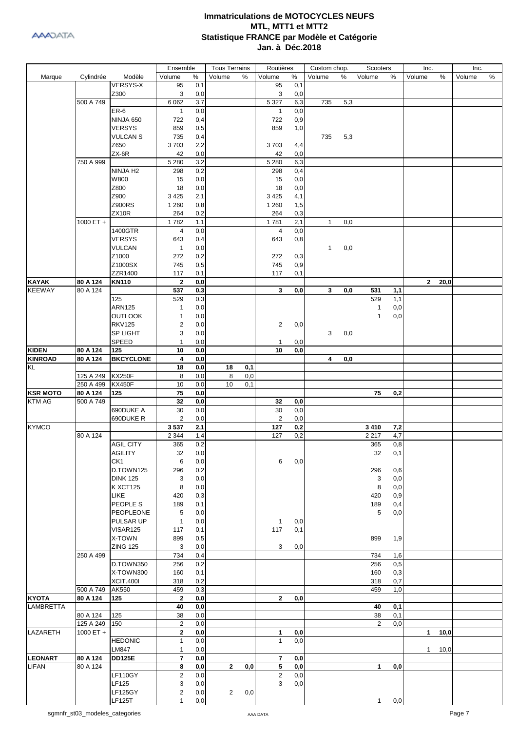|                  |                       |                         | Ensemble                |            | <b>Tous Terrains</b> |     | Routières         |            | Custom chop. |      | Scooters             |            | Inc.         |      | Inc.   |   |
|------------------|-----------------------|-------------------------|-------------------------|------------|----------------------|-----|-------------------|------------|--------------|------|----------------------|------------|--------------|------|--------|---|
| Marque           | Cylindrée             | Modèle                  | Volume                  | $\%$       | Volume               | %   | Volume            | $\%$       | Volume       | $\%$ | Volume               | %          | Volume       | %    | Volume | % |
|                  |                       | <b>VERSYS-X</b>         | 95                      | 0,1        |                      |     | 95                | 0,1        |              |      |                      |            |              |      |        |   |
|                  |                       | Z300                    | 3                       | 0,0        |                      |     | 3                 | 0,0        |              |      |                      |            |              |      |        |   |
|                  | 500 A 749             |                         | 6 0 62                  | 3,7        |                      |     | 5 3 2 7           | 6,3        | 735          | 5,3  |                      |            |              |      |        |   |
|                  |                       | ER-6                    | $\mathbf{1}$            | 0,0        |                      |     | 1                 | 0,0        |              |      |                      |            |              |      |        |   |
|                  |                       | <b>NINJA 650</b>        | 722                     | 0,4        |                      |     | 722               | 0,9        |              |      |                      |            |              |      |        |   |
|                  |                       | <b>VERSYS</b>           | 859                     | 0,5        |                      |     | 859               | 1,0        |              |      |                      |            |              |      |        |   |
|                  |                       | <b>VULCAN S</b>         | 735                     | 0,4        |                      |     |                   |            | 735          | 5,3  |                      |            |              |      |        |   |
|                  |                       | Z650                    | 3703                    | 2,2        |                      |     | 3703              | 4,4        |              |      |                      |            |              |      |        |   |
|                  |                       | $ZX-6R$                 | 42                      | 0,0        |                      |     | 42                | 0,0        |              |      |                      |            |              |      |        |   |
|                  | 750 A 999             |                         | 5 2 8 0                 | 3,2        |                      |     | 5 2 8 0           | 6,3        |              |      |                      |            |              |      |        |   |
|                  |                       | NINJA H <sub>2</sub>    | 298                     | 0,2        |                      |     | 298               | 0,4        |              |      |                      |            |              |      |        |   |
|                  |                       | W800                    | 15                      | 0,0        |                      |     | 15                | 0,0        |              |      |                      |            |              |      |        |   |
|                  |                       | Z800                    | 18                      | 0,0        |                      |     | 18                | 0,0        |              |      |                      |            |              |      |        |   |
|                  |                       | Z900                    | 3 4 2 5                 | 2,1        |                      |     | 3 4 2 5           | 4,1        |              |      |                      |            |              |      |        |   |
|                  |                       | <b>Z900RS</b>           | 1 2 6 0                 | 0,8        |                      |     | 1 2 6 0           | 1,5        |              |      |                      |            |              |      |        |   |
|                  |                       | ZX10R                   | 264                     | 0,2        |                      |     | 264               | 0,3        |              |      |                      |            |              |      |        |   |
|                  | 1000 ET +             |                         | 1782                    | 1,1        |                      |     | 1781              | 2,1        | $\mathbf{1}$ | 0,0  |                      |            |              |      |        |   |
|                  |                       | 1400GTR                 | 4                       | 0,0        |                      |     | 4                 | 0,0        |              |      |                      |            |              |      |        |   |
|                  |                       | <b>VERSYS</b>           | 643                     | 0,4        |                      |     | 643               | 0,8        |              |      |                      |            |              |      |        |   |
|                  |                       | <b>VULCAN</b>           | $\mathbf{1}$            | 0,0        |                      |     |                   |            | $\mathbf{1}$ | 0,0  |                      |            |              |      |        |   |
|                  |                       | Z1000                   | 272                     | 0,2        |                      |     | 272               | 0,3        |              |      |                      |            |              |      |        |   |
|                  |                       | Z1000SX                 | 745                     | 0,5        |                      |     | 745               | 0,9        |              |      |                      |            |              |      |        |   |
|                  |                       | ZZR1400                 | 117                     | 0,1        |                      |     | 117               | 0,1        |              |      |                      |            |              |      |        |   |
| <b>KAYAK</b>     | 80 A 124              | <b>KN110</b>            | $\mathbf{2}$            | 0,0        |                      |     |                   |            |              |      |                      |            | $\mathbf{2}$ | 20,0 |        |   |
| <b>KEEWAY</b>    | 80 A 124              |                         | 537                     | 0,3        |                      |     | 3                 | 0,0        | 3            | 0,0  | 531                  | 1,1        |              |      |        |   |
|                  |                       | 125                     | 529                     | 0,3        |                      |     |                   |            |              |      | 529                  | 1,1        |              |      |        |   |
|                  |                       | <b>ARN125</b>           | 1                       | 0,0        |                      |     |                   |            |              |      | $\mathbf{1}$         | 0,0        |              |      |        |   |
|                  |                       | <b>OUTLOOK</b>          | 1                       | 0,0        |                      |     |                   |            |              |      | $\mathbf{1}$         | 0,0        |              |      |        |   |
|                  |                       | <b>RKV125</b>           | $\boldsymbol{2}$        | 0,0        |                      |     | $\overline{c}$    | 0,0        |              |      |                      |            |              |      |        |   |
|                  |                       | <b>SP LIGHT</b>         | 3                       | 0,0        |                      |     |                   |            | 3            | 0,0  |                      |            |              |      |        |   |
|                  |                       | <b>SPEED</b>            | 1                       | 0,0        |                      |     | 1                 | 0,0        |              |      |                      |            |              |      |        |   |
| <b>KIDEN</b>     | 80 A 124              | 125                     | 10                      | 0,0        |                      |     | 10                | 0,0        |              |      |                      |            |              |      |        |   |
| <b>KINROAD</b>   | 80 A 124              | <b>BKCYCLONE</b>        | 4                       | 0,0        |                      |     |                   |            | 4            | 0,0  |                      |            |              |      |        |   |
| KL               |                       |                         | 18                      | 0,0        | 18                   | 0,1 |                   |            |              |      |                      |            |              |      |        |   |
|                  | 125 A 249             | <b>KX250F</b>           | 8                       | 0,0        | 8                    | 0,0 |                   |            |              |      |                      |            |              |      |        |   |
|                  | 250 A 499             | <b>KX450F</b>           | 10                      | 0,0        | 10                   | 0,1 |                   |            |              |      |                      |            |              |      |        |   |
| <b>KSR MOTO</b>  | 80 A 124              | 125                     | 75                      | 0,0        |                      |     |                   |            |              |      | 75                   | 0,2        |              |      |        |   |
| <b>KTM AG</b>    | 500 A 749             |                         | 32                      | 0,0        |                      |     | 32                | 0,0        |              |      |                      |            |              |      |        |   |
|                  |                       | 690DUKE A               | 30                      | 0,0        |                      |     | 30                | 0,0        |              |      |                      |            |              |      |        |   |
|                  |                       | 690DUKE R               | $\overline{2}$          | 0,0        |                      |     | 2                 | 0,0        |              |      |                      |            |              |      |        |   |
| <b>KYMCO</b>     |                       |                         | 3537                    | 2,1        |                      |     | 127               | 0,2        |              |      | 3410                 | 7,2        |              |      |        |   |
|                  | 80 A 124              |                         | 2 3 4 4                 | 1,4        |                      |     | 127               | 0,2        |              |      | 2 2 1 7              | 4,7        |              |      |        |   |
|                  |                       | <b>AGIL CITY</b>        | 365                     | 0,2        |                      |     |                   |            |              |      | 365                  | 0,8        |              |      |        |   |
|                  |                       | <b>AGILITY</b>          | 32                      | $_{0,0}$   |                      |     |                   |            |              |      | 32                   | 0,1        |              |      |        |   |
|                  |                       | CK1                     | 6                       | 0,0        |                      |     | 6                 | 0,0        |              |      |                      |            |              |      |        |   |
|                  |                       | D.TOWN125               | 296                     | 0,2        |                      |     |                   |            |              |      | 296                  | 0,6        |              |      |        |   |
|                  |                       | <b>DINK 125</b>         | 3                       | 0,0        |                      |     |                   |            |              |      | 3                    | 0,0        |              |      |        |   |
|                  |                       | <b>K XCT125</b>         | 8                       | 0,0        |                      |     |                   |            |              |      | 8                    | 0,0        |              |      |        |   |
|                  |                       | LIKE                    | 420                     | 0,3        |                      |     |                   |            |              |      | 420                  | 0,9        |              |      |        |   |
|                  |                       | PEOPLE S                | 189                     | 0,1        |                      |     |                   |            |              |      | 189                  | 0,4        |              |      |        |   |
|                  |                       | PEOPLEONE               | 5                       | 0,0        |                      |     |                   |            |              |      | 5                    | 0,0        |              |      |        |   |
|                  |                       | PULSAR UP               | $\mathbf{1}$            | 0,0        |                      |     | $\mathbf{1}$      | 0,0        |              |      |                      |            |              |      |        |   |
|                  |                       | VISAR125                | 117                     | 0,1        |                      |     | 117               | 0,1        |              |      |                      |            |              |      |        |   |
|                  |                       | X-TOWN                  | 899                     | 0,5        |                      |     |                   |            |              |      | 899                  | 1,9        |              |      |        |   |
|                  |                       | <b>ZING 125</b>         | 3                       | 0,0        |                      |     | 3                 | 0,0        |              |      |                      |            |              |      |        |   |
|                  | 250 A 499             | D.TOWN350               | 734                     | 0,4        |                      |     |                   |            |              |      | 734                  | 1,6<br>0,5 |              |      |        |   |
|                  |                       |                         | 256                     | 0,2        |                      |     |                   |            |              |      | 256                  |            |              |      |        |   |
|                  |                       | X-TOWN300               | 160                     | 0,1        |                      |     |                   |            |              |      | 160                  | 0,3        |              |      |        |   |
|                  |                       | <b>XCIT.400I</b>        | 318                     | 0,2        |                      |     |                   |            |              |      | 318                  | 0,7        |              |      |        |   |
| <b>KYOTA</b>     | 500 A 749<br>80 A 124 | AK550<br>125            | 459<br>$\mathbf{2}$     | 0,3<br>0,0 |                      |     | $\mathbf{2}$      | 0,0        |              |      | 459                  | 1,0        |              |      |        |   |
|                  |                       |                         |                         |            |                      |     |                   |            |              |      |                      |            |              |      |        |   |
| <b>LAMBRETTA</b> |                       |                         | 40                      | 0,0<br>0,0 |                      |     |                   |            |              |      | 40                   | 0,1        |              |      |        |   |
|                  | 80 A 124<br>125 A 249 | 125<br>150              | 38<br>$\sqrt{2}$        | 0,0        |                      |     |                   |            |              |      | 38<br>$\overline{2}$ | 0,1<br>0,0 |              |      |        |   |
| LAZARETH         | $\frac{1000}{2}$ ET + |                         | $\mathbf{2}$            |            |                      |     |                   |            |              |      |                      |            | 1            |      |        |   |
|                  |                       |                         |                         | 0,0        |                      |     | 1<br>$\mathbf{1}$ | 0,0<br>0,0 |              |      |                      |            |              | 10,0 |        |   |
|                  |                       | <b>HEDONIC</b><br>LM847 | $\mathbf{1}$            | 0,0        |                      |     |                   |            |              |      |                      |            |              |      |        |   |
| <b>LEONART</b>   | 80 A 124              | <b>DD125E</b>           | $\mathbf{1}$<br>7       | 0,0<br>0,0 |                      |     | 7                 | 0,0        |              |      |                      |            | $\mathbf{1}$ | 10,0 |        |   |
| <b>LIFAN</b>     | 80 A 124              |                         | 8                       | 0,0        | $\mathbf{2}$         | 0,0 | 5                 | 0,0        |              |      | 1                    | 0,0        |              |      |        |   |
|                  |                       | <b>LF110GY</b>          | $\overline{\mathbf{c}}$ | 0,0        |                      |     | $\overline{c}$    | 0,0        |              |      |                      |            |              |      |        |   |
|                  |                       | LF125                   | 3                       | 0,0        |                      |     | 3                 | 0,0        |              |      |                      |            |              |      |        |   |
|                  |                       | LF125GY                 | $\sqrt{2}$              | 0,0        | $\overline{2}$       | 0,0 |                   |            |              |      |                      |            |              |      |        |   |
|                  |                       | <b>LF125T</b>           | $\mathbf{1}$            | 0,0        |                      |     |                   |            |              |      | $\mathbf{1}$         | 0,0        |              |      |        |   |
|                  |                       |                         |                         |            |                      |     |                   |            |              |      |                      |            |              |      |        |   |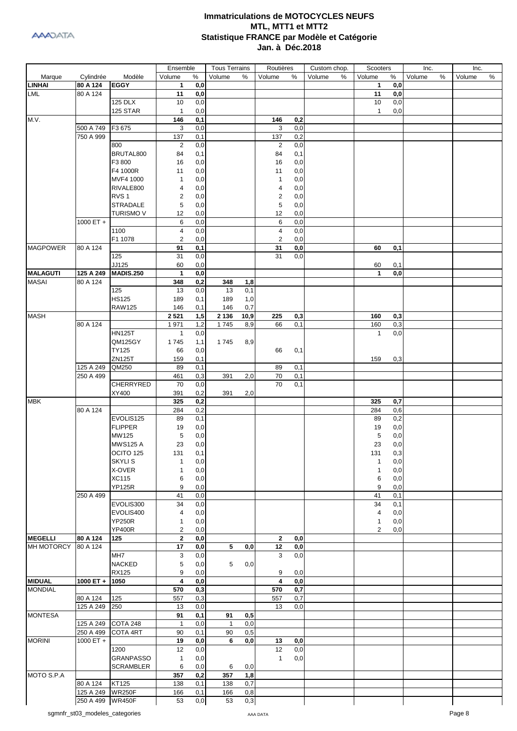| Cylindrée<br>Modèle<br>Volume<br>$\%$<br>Volume<br>Volume<br>%<br>Volume<br>Volume<br>%<br>Volume<br>%<br>Marque<br>℅<br>Volume<br>℅<br>%<br><b>LINHAI</b><br><b>EGGY</b><br>80 A 124<br>$\mathbf{1}$<br>0,0<br>$\mathbf{1}$<br>0,0<br>80 A 124<br>11<br>0,0<br>11<br>0,0<br><b>125 DLX</b><br>0,0<br>10<br>0,0<br>10<br>125 STAR<br>0,0<br>0,0<br>$\mathbf{1}$<br>$\mathbf{1}$<br>M.V.<br>146<br>146<br>0,2<br>0,1<br>3<br>0,0<br>500 A 749<br>F3 675<br>3<br>0,0<br>750 A 999<br>0,2<br>137<br>137<br>0,1<br>0,0<br>0,0<br>$\overline{2}$<br>800<br>2<br>BRUTAL800<br>84<br>0,1<br>84<br>0,1<br>F3 800<br>16<br>0,0<br>16<br>0,0<br>F4 1000R<br>0,0<br>11<br>0,0<br>11<br>MVF4 1000<br>0,0<br>1<br>0,0<br>$\mathbf{1}$<br>RIVALE800<br>4<br>0,0<br>0,0<br>4<br>RVS <sub>1</sub><br>2<br>2<br>0,0<br>0,0<br><b>STRADALE</b><br>5<br>0,0<br>5<br>0,0<br>0,0<br>Turismo V<br>12<br>0,0<br>12<br>$1000 ET +$<br>6<br>0,0<br>6<br>0,0<br>1100<br>4<br>0,0<br>4<br>0,0<br>F1 1078<br>0,0<br>2<br>0,0<br>2<br><b>MAGPOWER</b><br>80 A 124<br>91<br>0,1<br>31<br>0,0<br>60<br>0,1<br>125<br>31<br>31<br>0,0<br>0,0<br>JJ125<br>0,0<br>60<br>0,1<br>60<br><b>MALAGUTI</b><br>0,0<br>125 A 249<br><b>MADIS.250</b><br>$\mathbf{1}$<br>0,0<br>$\mathbf{1}$<br>80 A 124<br>348<br>0,2<br>348<br>1,8<br>125<br>0,0<br>13<br>0,1<br>13<br><b>HS125</b><br>189<br>189<br>1,0<br>0,1<br><b>RAW125</b><br>0,7<br>146<br>146<br>0,1<br>2 5 21<br>225<br>0,3<br>1,5<br>2 1 3 6<br>10,9<br>0,3<br>160<br>80 A 124<br>1971<br>1745<br>0,1<br>160<br>0,3<br>1,2<br>8,9<br>66<br><b>HN125T</b><br>0,0<br>$\mathbf{1}$<br>0,0<br>1<br>QM125GY<br>1745<br>1,1<br>1745<br>8,9<br>TY125<br>66<br>0,0<br>66<br>0,1<br>ZN125T<br>159<br>0,1<br>159<br>0,3<br>125 A 249<br>89<br>QM250<br>0,1<br>89<br>0,1<br>250 A 499<br>70<br>0,1<br>461<br>0,3<br>391<br>2,0<br>CHERRYRED<br>70<br>0,0<br>70<br>0,1<br>XY400<br>0,2<br>391<br>391<br>2,0<br>325<br>0,2<br>325<br>0,7<br>0,2<br>80 A 124<br>284<br>284<br>0,6<br>EVOLIS125<br>89<br>0,1<br>89<br>0,2<br><b>FLIPPER</b><br>0,0<br>19<br>0,0<br>19<br>MW125<br>0,0<br>5<br>0,0<br>5<br><b>MWS125 A</b><br>23<br>0,0<br>23<br>0,0<br>OCITO 125<br>131<br>0,1<br>131<br>0,3<br><b>SKYLIS</b><br>0,0<br>1<br>0,0<br>1<br>X-OVER<br>0,0<br>0,0<br>1<br>1<br><b>XC115</b><br>0,0<br>0,0<br>6<br>6<br><b>YP125R</b><br>9<br>0,0<br>9<br>0,0<br>250 A 499<br>41<br>0,0<br>41<br>0,1<br>EVOLIS300<br>34<br>0,0<br>34<br>0,1<br>EVOLIS400<br>0,0<br>0,0<br>4<br>4<br><b>YP250R</b><br>0,0<br>0,0<br>1<br>1<br><b>YP400R</b><br>$\overline{c}$<br>0,0<br>0,0<br>2<br>80 A 124<br>$\mathbf{2}$<br>$\mathbf{2}$<br>125<br>0,0<br>0,0<br>5<br>0,0<br>80 A 124<br>17<br>12<br>0,0<br>0,0<br>MH <sub>7</sub><br>3<br>0,0<br>3<br>0,0<br><b>NACKED</b><br>5<br>0,0<br>5<br>0,0<br><b>RX125</b><br>9<br>0,0<br>9<br>0,0<br><b>MIDUAL</b><br>4<br>1000 ET +<br>1050<br>0,0<br>4<br>0,0<br><b>MONDIAL</b><br>0,7<br>570<br>0,3<br>570<br>0,7<br>80 A 124<br>125<br>557<br>0,3<br>557<br>125 A 249<br>0,0<br>250<br>13<br>0,0<br>13<br><b>MONTESA</b><br>91<br>0,1<br>91<br>0,5<br>COTA 248<br>125 A 249<br>$\mathbf{1}$<br>0,0<br>$\mathbf{1}$<br>0,0<br>250 A 499<br>COTA 4RT<br>90<br>90<br>0,5<br>0,1<br>$1000 ET +$<br>6<br>19<br>0,0<br>0,0<br>13<br>0,0<br>0,0<br>1200<br>12<br>0,0<br>12<br><b>GRANPASSO</b><br>0,0<br>0,0<br>$\mathbf{1}$<br>$\mathbf{1}$<br><b>SCRAMBLER</b><br>0,0<br>6<br>6<br>0,0<br>1,8<br>357<br>0,2<br>357<br>80 A 124<br>KT125<br>138<br>0,1<br>138<br>0,7<br>125 A 249 WR250F<br>166<br>166<br>0,8<br>0,1<br>250 A 499 WR450F<br>$_{\rm 0,3}$<br>53<br>0,0<br>53 |                   |  | Ensemble | <b>Tous Terrains</b> | Routières | Custom chop. | Scooters | Inc. | Inc. |  |
|-----------------------------------------------------------------------------------------------------------------------------------------------------------------------------------------------------------------------------------------------------------------------------------------------------------------------------------------------------------------------------------------------------------------------------------------------------------------------------------------------------------------------------------------------------------------------------------------------------------------------------------------------------------------------------------------------------------------------------------------------------------------------------------------------------------------------------------------------------------------------------------------------------------------------------------------------------------------------------------------------------------------------------------------------------------------------------------------------------------------------------------------------------------------------------------------------------------------------------------------------------------------------------------------------------------------------------------------------------------------------------------------------------------------------------------------------------------------------------------------------------------------------------------------------------------------------------------------------------------------------------------------------------------------------------------------------------------------------------------------------------------------------------------------------------------------------------------------------------------------------------------------------------------------------------------------------------------------------------------------------------------------------------------------------------------------------------------------------------------------------------------------------------------------------------------------------------------------------------------------------------------------------------------------------------------------------------------------------------------------------------------------------------------------------------------------------------------------------------------------------------------------------------------------------------------------------------------------------------------------------------------------------------------------------------------------------------------------------------------------------------------------------------------------------------------------------------------------------------------------------------------------------------------------------------------------------------------------------------------------------------------------------------------------------------------------------------------------------------------------------------------------------------------------------------------------------------------------------------------------------------------------------------------------------------------------------------------------------------------------------------------------------------------------------------------------------------------------------------------------------------------------------------------------------------------------------------------------------------|-------------------|--|----------|----------------------|-----------|--------------|----------|------|------|--|
|                                                                                                                                                                                                                                                                                                                                                                                                                                                                                                                                                                                                                                                                                                                                                                                                                                                                                                                                                                                                                                                                                                                                                                                                                                                                                                                                                                                                                                                                                                                                                                                                                                                                                                                                                                                                                                                                                                                                                                                                                                                                                                                                                                                                                                                                                                                                                                                                                                                                                                                                                                                                                                                                                                                                                                                                                                                                                                                                                                                                                                                                                                                                                                                                                                                                                                                                                                                                                                                                                                                                                                                                     |                   |  |          |                      |           |              |          |      |      |  |
|                                                                                                                                                                                                                                                                                                                                                                                                                                                                                                                                                                                                                                                                                                                                                                                                                                                                                                                                                                                                                                                                                                                                                                                                                                                                                                                                                                                                                                                                                                                                                                                                                                                                                                                                                                                                                                                                                                                                                                                                                                                                                                                                                                                                                                                                                                                                                                                                                                                                                                                                                                                                                                                                                                                                                                                                                                                                                                                                                                                                                                                                                                                                                                                                                                                                                                                                                                                                                                                                                                                                                                                                     |                   |  |          |                      |           |              |          |      |      |  |
|                                                                                                                                                                                                                                                                                                                                                                                                                                                                                                                                                                                                                                                                                                                                                                                                                                                                                                                                                                                                                                                                                                                                                                                                                                                                                                                                                                                                                                                                                                                                                                                                                                                                                                                                                                                                                                                                                                                                                                                                                                                                                                                                                                                                                                                                                                                                                                                                                                                                                                                                                                                                                                                                                                                                                                                                                                                                                                                                                                                                                                                                                                                                                                                                                                                                                                                                                                                                                                                                                                                                                                                                     | LML               |  |          |                      |           |              |          |      |      |  |
|                                                                                                                                                                                                                                                                                                                                                                                                                                                                                                                                                                                                                                                                                                                                                                                                                                                                                                                                                                                                                                                                                                                                                                                                                                                                                                                                                                                                                                                                                                                                                                                                                                                                                                                                                                                                                                                                                                                                                                                                                                                                                                                                                                                                                                                                                                                                                                                                                                                                                                                                                                                                                                                                                                                                                                                                                                                                                                                                                                                                                                                                                                                                                                                                                                                                                                                                                                                                                                                                                                                                                                                                     |                   |  |          |                      |           |              |          |      |      |  |
|                                                                                                                                                                                                                                                                                                                                                                                                                                                                                                                                                                                                                                                                                                                                                                                                                                                                                                                                                                                                                                                                                                                                                                                                                                                                                                                                                                                                                                                                                                                                                                                                                                                                                                                                                                                                                                                                                                                                                                                                                                                                                                                                                                                                                                                                                                                                                                                                                                                                                                                                                                                                                                                                                                                                                                                                                                                                                                                                                                                                                                                                                                                                                                                                                                                                                                                                                                                                                                                                                                                                                                                                     |                   |  |          |                      |           |              |          |      |      |  |
|                                                                                                                                                                                                                                                                                                                                                                                                                                                                                                                                                                                                                                                                                                                                                                                                                                                                                                                                                                                                                                                                                                                                                                                                                                                                                                                                                                                                                                                                                                                                                                                                                                                                                                                                                                                                                                                                                                                                                                                                                                                                                                                                                                                                                                                                                                                                                                                                                                                                                                                                                                                                                                                                                                                                                                                                                                                                                                                                                                                                                                                                                                                                                                                                                                                                                                                                                                                                                                                                                                                                                                                                     |                   |  |          |                      |           |              |          |      |      |  |
|                                                                                                                                                                                                                                                                                                                                                                                                                                                                                                                                                                                                                                                                                                                                                                                                                                                                                                                                                                                                                                                                                                                                                                                                                                                                                                                                                                                                                                                                                                                                                                                                                                                                                                                                                                                                                                                                                                                                                                                                                                                                                                                                                                                                                                                                                                                                                                                                                                                                                                                                                                                                                                                                                                                                                                                                                                                                                                                                                                                                                                                                                                                                                                                                                                                                                                                                                                                                                                                                                                                                                                                                     |                   |  |          |                      |           |              |          |      |      |  |
|                                                                                                                                                                                                                                                                                                                                                                                                                                                                                                                                                                                                                                                                                                                                                                                                                                                                                                                                                                                                                                                                                                                                                                                                                                                                                                                                                                                                                                                                                                                                                                                                                                                                                                                                                                                                                                                                                                                                                                                                                                                                                                                                                                                                                                                                                                                                                                                                                                                                                                                                                                                                                                                                                                                                                                                                                                                                                                                                                                                                                                                                                                                                                                                                                                                                                                                                                                                                                                                                                                                                                                                                     |                   |  |          |                      |           |              |          |      |      |  |
|                                                                                                                                                                                                                                                                                                                                                                                                                                                                                                                                                                                                                                                                                                                                                                                                                                                                                                                                                                                                                                                                                                                                                                                                                                                                                                                                                                                                                                                                                                                                                                                                                                                                                                                                                                                                                                                                                                                                                                                                                                                                                                                                                                                                                                                                                                                                                                                                                                                                                                                                                                                                                                                                                                                                                                                                                                                                                                                                                                                                                                                                                                                                                                                                                                                                                                                                                                                                                                                                                                                                                                                                     |                   |  |          |                      |           |              |          |      |      |  |
|                                                                                                                                                                                                                                                                                                                                                                                                                                                                                                                                                                                                                                                                                                                                                                                                                                                                                                                                                                                                                                                                                                                                                                                                                                                                                                                                                                                                                                                                                                                                                                                                                                                                                                                                                                                                                                                                                                                                                                                                                                                                                                                                                                                                                                                                                                                                                                                                                                                                                                                                                                                                                                                                                                                                                                                                                                                                                                                                                                                                                                                                                                                                                                                                                                                                                                                                                                                                                                                                                                                                                                                                     |                   |  |          |                      |           |              |          |      |      |  |
|                                                                                                                                                                                                                                                                                                                                                                                                                                                                                                                                                                                                                                                                                                                                                                                                                                                                                                                                                                                                                                                                                                                                                                                                                                                                                                                                                                                                                                                                                                                                                                                                                                                                                                                                                                                                                                                                                                                                                                                                                                                                                                                                                                                                                                                                                                                                                                                                                                                                                                                                                                                                                                                                                                                                                                                                                                                                                                                                                                                                                                                                                                                                                                                                                                                                                                                                                                                                                                                                                                                                                                                                     |                   |  |          |                      |           |              |          |      |      |  |
|                                                                                                                                                                                                                                                                                                                                                                                                                                                                                                                                                                                                                                                                                                                                                                                                                                                                                                                                                                                                                                                                                                                                                                                                                                                                                                                                                                                                                                                                                                                                                                                                                                                                                                                                                                                                                                                                                                                                                                                                                                                                                                                                                                                                                                                                                                                                                                                                                                                                                                                                                                                                                                                                                                                                                                                                                                                                                                                                                                                                                                                                                                                                                                                                                                                                                                                                                                                                                                                                                                                                                                                                     |                   |  |          |                      |           |              |          |      |      |  |
|                                                                                                                                                                                                                                                                                                                                                                                                                                                                                                                                                                                                                                                                                                                                                                                                                                                                                                                                                                                                                                                                                                                                                                                                                                                                                                                                                                                                                                                                                                                                                                                                                                                                                                                                                                                                                                                                                                                                                                                                                                                                                                                                                                                                                                                                                                                                                                                                                                                                                                                                                                                                                                                                                                                                                                                                                                                                                                                                                                                                                                                                                                                                                                                                                                                                                                                                                                                                                                                                                                                                                                                                     |                   |  |          |                      |           |              |          |      |      |  |
|                                                                                                                                                                                                                                                                                                                                                                                                                                                                                                                                                                                                                                                                                                                                                                                                                                                                                                                                                                                                                                                                                                                                                                                                                                                                                                                                                                                                                                                                                                                                                                                                                                                                                                                                                                                                                                                                                                                                                                                                                                                                                                                                                                                                                                                                                                                                                                                                                                                                                                                                                                                                                                                                                                                                                                                                                                                                                                                                                                                                                                                                                                                                                                                                                                                                                                                                                                                                                                                                                                                                                                                                     |                   |  |          |                      |           |              |          |      |      |  |
|                                                                                                                                                                                                                                                                                                                                                                                                                                                                                                                                                                                                                                                                                                                                                                                                                                                                                                                                                                                                                                                                                                                                                                                                                                                                                                                                                                                                                                                                                                                                                                                                                                                                                                                                                                                                                                                                                                                                                                                                                                                                                                                                                                                                                                                                                                                                                                                                                                                                                                                                                                                                                                                                                                                                                                                                                                                                                                                                                                                                                                                                                                                                                                                                                                                                                                                                                                                                                                                                                                                                                                                                     |                   |  |          |                      |           |              |          |      |      |  |
|                                                                                                                                                                                                                                                                                                                                                                                                                                                                                                                                                                                                                                                                                                                                                                                                                                                                                                                                                                                                                                                                                                                                                                                                                                                                                                                                                                                                                                                                                                                                                                                                                                                                                                                                                                                                                                                                                                                                                                                                                                                                                                                                                                                                                                                                                                                                                                                                                                                                                                                                                                                                                                                                                                                                                                                                                                                                                                                                                                                                                                                                                                                                                                                                                                                                                                                                                                                                                                                                                                                                                                                                     |                   |  |          |                      |           |              |          |      |      |  |
|                                                                                                                                                                                                                                                                                                                                                                                                                                                                                                                                                                                                                                                                                                                                                                                                                                                                                                                                                                                                                                                                                                                                                                                                                                                                                                                                                                                                                                                                                                                                                                                                                                                                                                                                                                                                                                                                                                                                                                                                                                                                                                                                                                                                                                                                                                                                                                                                                                                                                                                                                                                                                                                                                                                                                                                                                                                                                                                                                                                                                                                                                                                                                                                                                                                                                                                                                                                                                                                                                                                                                                                                     |                   |  |          |                      |           |              |          |      |      |  |
|                                                                                                                                                                                                                                                                                                                                                                                                                                                                                                                                                                                                                                                                                                                                                                                                                                                                                                                                                                                                                                                                                                                                                                                                                                                                                                                                                                                                                                                                                                                                                                                                                                                                                                                                                                                                                                                                                                                                                                                                                                                                                                                                                                                                                                                                                                                                                                                                                                                                                                                                                                                                                                                                                                                                                                                                                                                                                                                                                                                                                                                                                                                                                                                                                                                                                                                                                                                                                                                                                                                                                                                                     |                   |  |          |                      |           |              |          |      |      |  |
|                                                                                                                                                                                                                                                                                                                                                                                                                                                                                                                                                                                                                                                                                                                                                                                                                                                                                                                                                                                                                                                                                                                                                                                                                                                                                                                                                                                                                                                                                                                                                                                                                                                                                                                                                                                                                                                                                                                                                                                                                                                                                                                                                                                                                                                                                                                                                                                                                                                                                                                                                                                                                                                                                                                                                                                                                                                                                                                                                                                                                                                                                                                                                                                                                                                                                                                                                                                                                                                                                                                                                                                                     |                   |  |          |                      |           |              |          |      |      |  |
|                                                                                                                                                                                                                                                                                                                                                                                                                                                                                                                                                                                                                                                                                                                                                                                                                                                                                                                                                                                                                                                                                                                                                                                                                                                                                                                                                                                                                                                                                                                                                                                                                                                                                                                                                                                                                                                                                                                                                                                                                                                                                                                                                                                                                                                                                                                                                                                                                                                                                                                                                                                                                                                                                                                                                                                                                                                                                                                                                                                                                                                                                                                                                                                                                                                                                                                                                                                                                                                                                                                                                                                                     |                   |  |          |                      |           |              |          |      |      |  |
|                                                                                                                                                                                                                                                                                                                                                                                                                                                                                                                                                                                                                                                                                                                                                                                                                                                                                                                                                                                                                                                                                                                                                                                                                                                                                                                                                                                                                                                                                                                                                                                                                                                                                                                                                                                                                                                                                                                                                                                                                                                                                                                                                                                                                                                                                                                                                                                                                                                                                                                                                                                                                                                                                                                                                                                                                                                                                                                                                                                                                                                                                                                                                                                                                                                                                                                                                                                                                                                                                                                                                                                                     |                   |  |          |                      |           |              |          |      |      |  |
|                                                                                                                                                                                                                                                                                                                                                                                                                                                                                                                                                                                                                                                                                                                                                                                                                                                                                                                                                                                                                                                                                                                                                                                                                                                                                                                                                                                                                                                                                                                                                                                                                                                                                                                                                                                                                                                                                                                                                                                                                                                                                                                                                                                                                                                                                                                                                                                                                                                                                                                                                                                                                                                                                                                                                                                                                                                                                                                                                                                                                                                                                                                                                                                                                                                                                                                                                                                                                                                                                                                                                                                                     |                   |  |          |                      |           |              |          |      |      |  |
|                                                                                                                                                                                                                                                                                                                                                                                                                                                                                                                                                                                                                                                                                                                                                                                                                                                                                                                                                                                                                                                                                                                                                                                                                                                                                                                                                                                                                                                                                                                                                                                                                                                                                                                                                                                                                                                                                                                                                                                                                                                                                                                                                                                                                                                                                                                                                                                                                                                                                                                                                                                                                                                                                                                                                                                                                                                                                                                                                                                                                                                                                                                                                                                                                                                                                                                                                                                                                                                                                                                                                                                                     |                   |  |          |                      |           |              |          |      |      |  |
|                                                                                                                                                                                                                                                                                                                                                                                                                                                                                                                                                                                                                                                                                                                                                                                                                                                                                                                                                                                                                                                                                                                                                                                                                                                                                                                                                                                                                                                                                                                                                                                                                                                                                                                                                                                                                                                                                                                                                                                                                                                                                                                                                                                                                                                                                                                                                                                                                                                                                                                                                                                                                                                                                                                                                                                                                                                                                                                                                                                                                                                                                                                                                                                                                                                                                                                                                                                                                                                                                                                                                                                                     |                   |  |          |                      |           |              |          |      |      |  |
|                                                                                                                                                                                                                                                                                                                                                                                                                                                                                                                                                                                                                                                                                                                                                                                                                                                                                                                                                                                                                                                                                                                                                                                                                                                                                                                                                                                                                                                                                                                                                                                                                                                                                                                                                                                                                                                                                                                                                                                                                                                                                                                                                                                                                                                                                                                                                                                                                                                                                                                                                                                                                                                                                                                                                                                                                                                                                                                                                                                                                                                                                                                                                                                                                                                                                                                                                                                                                                                                                                                                                                                                     | <b>MASAI</b>      |  |          |                      |           |              |          |      |      |  |
|                                                                                                                                                                                                                                                                                                                                                                                                                                                                                                                                                                                                                                                                                                                                                                                                                                                                                                                                                                                                                                                                                                                                                                                                                                                                                                                                                                                                                                                                                                                                                                                                                                                                                                                                                                                                                                                                                                                                                                                                                                                                                                                                                                                                                                                                                                                                                                                                                                                                                                                                                                                                                                                                                                                                                                                                                                                                                                                                                                                                                                                                                                                                                                                                                                                                                                                                                                                                                                                                                                                                                                                                     |                   |  |          |                      |           |              |          |      |      |  |
|                                                                                                                                                                                                                                                                                                                                                                                                                                                                                                                                                                                                                                                                                                                                                                                                                                                                                                                                                                                                                                                                                                                                                                                                                                                                                                                                                                                                                                                                                                                                                                                                                                                                                                                                                                                                                                                                                                                                                                                                                                                                                                                                                                                                                                                                                                                                                                                                                                                                                                                                                                                                                                                                                                                                                                                                                                                                                                                                                                                                                                                                                                                                                                                                                                                                                                                                                                                                                                                                                                                                                                                                     |                   |  |          |                      |           |              |          |      |      |  |
|                                                                                                                                                                                                                                                                                                                                                                                                                                                                                                                                                                                                                                                                                                                                                                                                                                                                                                                                                                                                                                                                                                                                                                                                                                                                                                                                                                                                                                                                                                                                                                                                                                                                                                                                                                                                                                                                                                                                                                                                                                                                                                                                                                                                                                                                                                                                                                                                                                                                                                                                                                                                                                                                                                                                                                                                                                                                                                                                                                                                                                                                                                                                                                                                                                                                                                                                                                                                                                                                                                                                                                                                     |                   |  |          |                      |           |              |          |      |      |  |
|                                                                                                                                                                                                                                                                                                                                                                                                                                                                                                                                                                                                                                                                                                                                                                                                                                                                                                                                                                                                                                                                                                                                                                                                                                                                                                                                                                                                                                                                                                                                                                                                                                                                                                                                                                                                                                                                                                                                                                                                                                                                                                                                                                                                                                                                                                                                                                                                                                                                                                                                                                                                                                                                                                                                                                                                                                                                                                                                                                                                                                                                                                                                                                                                                                                                                                                                                                                                                                                                                                                                                                                                     | <b>MASH</b>       |  |          |                      |           |              |          |      |      |  |
|                                                                                                                                                                                                                                                                                                                                                                                                                                                                                                                                                                                                                                                                                                                                                                                                                                                                                                                                                                                                                                                                                                                                                                                                                                                                                                                                                                                                                                                                                                                                                                                                                                                                                                                                                                                                                                                                                                                                                                                                                                                                                                                                                                                                                                                                                                                                                                                                                                                                                                                                                                                                                                                                                                                                                                                                                                                                                                                                                                                                                                                                                                                                                                                                                                                                                                                                                                                                                                                                                                                                                                                                     |                   |  |          |                      |           |              |          |      |      |  |
|                                                                                                                                                                                                                                                                                                                                                                                                                                                                                                                                                                                                                                                                                                                                                                                                                                                                                                                                                                                                                                                                                                                                                                                                                                                                                                                                                                                                                                                                                                                                                                                                                                                                                                                                                                                                                                                                                                                                                                                                                                                                                                                                                                                                                                                                                                                                                                                                                                                                                                                                                                                                                                                                                                                                                                                                                                                                                                                                                                                                                                                                                                                                                                                                                                                                                                                                                                                                                                                                                                                                                                                                     |                   |  |          |                      |           |              |          |      |      |  |
|                                                                                                                                                                                                                                                                                                                                                                                                                                                                                                                                                                                                                                                                                                                                                                                                                                                                                                                                                                                                                                                                                                                                                                                                                                                                                                                                                                                                                                                                                                                                                                                                                                                                                                                                                                                                                                                                                                                                                                                                                                                                                                                                                                                                                                                                                                                                                                                                                                                                                                                                                                                                                                                                                                                                                                                                                                                                                                                                                                                                                                                                                                                                                                                                                                                                                                                                                                                                                                                                                                                                                                                                     |                   |  |          |                      |           |              |          |      |      |  |
|                                                                                                                                                                                                                                                                                                                                                                                                                                                                                                                                                                                                                                                                                                                                                                                                                                                                                                                                                                                                                                                                                                                                                                                                                                                                                                                                                                                                                                                                                                                                                                                                                                                                                                                                                                                                                                                                                                                                                                                                                                                                                                                                                                                                                                                                                                                                                                                                                                                                                                                                                                                                                                                                                                                                                                                                                                                                                                                                                                                                                                                                                                                                                                                                                                                                                                                                                                                                                                                                                                                                                                                                     |                   |  |          |                      |           |              |          |      |      |  |
|                                                                                                                                                                                                                                                                                                                                                                                                                                                                                                                                                                                                                                                                                                                                                                                                                                                                                                                                                                                                                                                                                                                                                                                                                                                                                                                                                                                                                                                                                                                                                                                                                                                                                                                                                                                                                                                                                                                                                                                                                                                                                                                                                                                                                                                                                                                                                                                                                                                                                                                                                                                                                                                                                                                                                                                                                                                                                                                                                                                                                                                                                                                                                                                                                                                                                                                                                                                                                                                                                                                                                                                                     |                   |  |          |                      |           |              |          |      |      |  |
|                                                                                                                                                                                                                                                                                                                                                                                                                                                                                                                                                                                                                                                                                                                                                                                                                                                                                                                                                                                                                                                                                                                                                                                                                                                                                                                                                                                                                                                                                                                                                                                                                                                                                                                                                                                                                                                                                                                                                                                                                                                                                                                                                                                                                                                                                                                                                                                                                                                                                                                                                                                                                                                                                                                                                                                                                                                                                                                                                                                                                                                                                                                                                                                                                                                                                                                                                                                                                                                                                                                                                                                                     |                   |  |          |                      |           |              |          |      |      |  |
|                                                                                                                                                                                                                                                                                                                                                                                                                                                                                                                                                                                                                                                                                                                                                                                                                                                                                                                                                                                                                                                                                                                                                                                                                                                                                                                                                                                                                                                                                                                                                                                                                                                                                                                                                                                                                                                                                                                                                                                                                                                                                                                                                                                                                                                                                                                                                                                                                                                                                                                                                                                                                                                                                                                                                                                                                                                                                                                                                                                                                                                                                                                                                                                                                                                                                                                                                                                                                                                                                                                                                                                                     |                   |  |          |                      |           |              |          |      |      |  |
|                                                                                                                                                                                                                                                                                                                                                                                                                                                                                                                                                                                                                                                                                                                                                                                                                                                                                                                                                                                                                                                                                                                                                                                                                                                                                                                                                                                                                                                                                                                                                                                                                                                                                                                                                                                                                                                                                                                                                                                                                                                                                                                                                                                                                                                                                                                                                                                                                                                                                                                                                                                                                                                                                                                                                                                                                                                                                                                                                                                                                                                                                                                                                                                                                                                                                                                                                                                                                                                                                                                                                                                                     |                   |  |          |                      |           |              |          |      |      |  |
|                                                                                                                                                                                                                                                                                                                                                                                                                                                                                                                                                                                                                                                                                                                                                                                                                                                                                                                                                                                                                                                                                                                                                                                                                                                                                                                                                                                                                                                                                                                                                                                                                                                                                                                                                                                                                                                                                                                                                                                                                                                                                                                                                                                                                                                                                                                                                                                                                                                                                                                                                                                                                                                                                                                                                                                                                                                                                                                                                                                                                                                                                                                                                                                                                                                                                                                                                                                                                                                                                                                                                                                                     |                   |  |          |                      |           |              |          |      |      |  |
|                                                                                                                                                                                                                                                                                                                                                                                                                                                                                                                                                                                                                                                                                                                                                                                                                                                                                                                                                                                                                                                                                                                                                                                                                                                                                                                                                                                                                                                                                                                                                                                                                                                                                                                                                                                                                                                                                                                                                                                                                                                                                                                                                                                                                                                                                                                                                                                                                                                                                                                                                                                                                                                                                                                                                                                                                                                                                                                                                                                                                                                                                                                                                                                                                                                                                                                                                                                                                                                                                                                                                                                                     | <b>MBK</b>        |  |          |                      |           |              |          |      |      |  |
|                                                                                                                                                                                                                                                                                                                                                                                                                                                                                                                                                                                                                                                                                                                                                                                                                                                                                                                                                                                                                                                                                                                                                                                                                                                                                                                                                                                                                                                                                                                                                                                                                                                                                                                                                                                                                                                                                                                                                                                                                                                                                                                                                                                                                                                                                                                                                                                                                                                                                                                                                                                                                                                                                                                                                                                                                                                                                                                                                                                                                                                                                                                                                                                                                                                                                                                                                                                                                                                                                                                                                                                                     |                   |  |          |                      |           |              |          |      |      |  |
|                                                                                                                                                                                                                                                                                                                                                                                                                                                                                                                                                                                                                                                                                                                                                                                                                                                                                                                                                                                                                                                                                                                                                                                                                                                                                                                                                                                                                                                                                                                                                                                                                                                                                                                                                                                                                                                                                                                                                                                                                                                                                                                                                                                                                                                                                                                                                                                                                                                                                                                                                                                                                                                                                                                                                                                                                                                                                                                                                                                                                                                                                                                                                                                                                                                                                                                                                                                                                                                                                                                                                                                                     |                   |  |          |                      |           |              |          |      |      |  |
|                                                                                                                                                                                                                                                                                                                                                                                                                                                                                                                                                                                                                                                                                                                                                                                                                                                                                                                                                                                                                                                                                                                                                                                                                                                                                                                                                                                                                                                                                                                                                                                                                                                                                                                                                                                                                                                                                                                                                                                                                                                                                                                                                                                                                                                                                                                                                                                                                                                                                                                                                                                                                                                                                                                                                                                                                                                                                                                                                                                                                                                                                                                                                                                                                                                                                                                                                                                                                                                                                                                                                                                                     |                   |  |          |                      |           |              |          |      |      |  |
|                                                                                                                                                                                                                                                                                                                                                                                                                                                                                                                                                                                                                                                                                                                                                                                                                                                                                                                                                                                                                                                                                                                                                                                                                                                                                                                                                                                                                                                                                                                                                                                                                                                                                                                                                                                                                                                                                                                                                                                                                                                                                                                                                                                                                                                                                                                                                                                                                                                                                                                                                                                                                                                                                                                                                                                                                                                                                                                                                                                                                                                                                                                                                                                                                                                                                                                                                                                                                                                                                                                                                                                                     |                   |  |          |                      |           |              |          |      |      |  |
|                                                                                                                                                                                                                                                                                                                                                                                                                                                                                                                                                                                                                                                                                                                                                                                                                                                                                                                                                                                                                                                                                                                                                                                                                                                                                                                                                                                                                                                                                                                                                                                                                                                                                                                                                                                                                                                                                                                                                                                                                                                                                                                                                                                                                                                                                                                                                                                                                                                                                                                                                                                                                                                                                                                                                                                                                                                                                                                                                                                                                                                                                                                                                                                                                                                                                                                                                                                                                                                                                                                                                                                                     |                   |  |          |                      |           |              |          |      |      |  |
|                                                                                                                                                                                                                                                                                                                                                                                                                                                                                                                                                                                                                                                                                                                                                                                                                                                                                                                                                                                                                                                                                                                                                                                                                                                                                                                                                                                                                                                                                                                                                                                                                                                                                                                                                                                                                                                                                                                                                                                                                                                                                                                                                                                                                                                                                                                                                                                                                                                                                                                                                                                                                                                                                                                                                                                                                                                                                                                                                                                                                                                                                                                                                                                                                                                                                                                                                                                                                                                                                                                                                                                                     |                   |  |          |                      |           |              |          |      |      |  |
|                                                                                                                                                                                                                                                                                                                                                                                                                                                                                                                                                                                                                                                                                                                                                                                                                                                                                                                                                                                                                                                                                                                                                                                                                                                                                                                                                                                                                                                                                                                                                                                                                                                                                                                                                                                                                                                                                                                                                                                                                                                                                                                                                                                                                                                                                                                                                                                                                                                                                                                                                                                                                                                                                                                                                                                                                                                                                                                                                                                                                                                                                                                                                                                                                                                                                                                                                                                                                                                                                                                                                                                                     |                   |  |          |                      |           |              |          |      |      |  |
|                                                                                                                                                                                                                                                                                                                                                                                                                                                                                                                                                                                                                                                                                                                                                                                                                                                                                                                                                                                                                                                                                                                                                                                                                                                                                                                                                                                                                                                                                                                                                                                                                                                                                                                                                                                                                                                                                                                                                                                                                                                                                                                                                                                                                                                                                                                                                                                                                                                                                                                                                                                                                                                                                                                                                                                                                                                                                                                                                                                                                                                                                                                                                                                                                                                                                                                                                                                                                                                                                                                                                                                                     |                   |  |          |                      |           |              |          |      |      |  |
|                                                                                                                                                                                                                                                                                                                                                                                                                                                                                                                                                                                                                                                                                                                                                                                                                                                                                                                                                                                                                                                                                                                                                                                                                                                                                                                                                                                                                                                                                                                                                                                                                                                                                                                                                                                                                                                                                                                                                                                                                                                                                                                                                                                                                                                                                                                                                                                                                                                                                                                                                                                                                                                                                                                                                                                                                                                                                                                                                                                                                                                                                                                                                                                                                                                                                                                                                                                                                                                                                                                                                                                                     |                   |  |          |                      |           |              |          |      |      |  |
|                                                                                                                                                                                                                                                                                                                                                                                                                                                                                                                                                                                                                                                                                                                                                                                                                                                                                                                                                                                                                                                                                                                                                                                                                                                                                                                                                                                                                                                                                                                                                                                                                                                                                                                                                                                                                                                                                                                                                                                                                                                                                                                                                                                                                                                                                                                                                                                                                                                                                                                                                                                                                                                                                                                                                                                                                                                                                                                                                                                                                                                                                                                                                                                                                                                                                                                                                                                                                                                                                                                                                                                                     |                   |  |          |                      |           |              |          |      |      |  |
|                                                                                                                                                                                                                                                                                                                                                                                                                                                                                                                                                                                                                                                                                                                                                                                                                                                                                                                                                                                                                                                                                                                                                                                                                                                                                                                                                                                                                                                                                                                                                                                                                                                                                                                                                                                                                                                                                                                                                                                                                                                                                                                                                                                                                                                                                                                                                                                                                                                                                                                                                                                                                                                                                                                                                                                                                                                                                                                                                                                                                                                                                                                                                                                                                                                                                                                                                                                                                                                                                                                                                                                                     |                   |  |          |                      |           |              |          |      |      |  |
|                                                                                                                                                                                                                                                                                                                                                                                                                                                                                                                                                                                                                                                                                                                                                                                                                                                                                                                                                                                                                                                                                                                                                                                                                                                                                                                                                                                                                                                                                                                                                                                                                                                                                                                                                                                                                                                                                                                                                                                                                                                                                                                                                                                                                                                                                                                                                                                                                                                                                                                                                                                                                                                                                                                                                                                                                                                                                                                                                                                                                                                                                                                                                                                                                                                                                                                                                                                                                                                                                                                                                                                                     |                   |  |          |                      |           |              |          |      |      |  |
|                                                                                                                                                                                                                                                                                                                                                                                                                                                                                                                                                                                                                                                                                                                                                                                                                                                                                                                                                                                                                                                                                                                                                                                                                                                                                                                                                                                                                                                                                                                                                                                                                                                                                                                                                                                                                                                                                                                                                                                                                                                                                                                                                                                                                                                                                                                                                                                                                                                                                                                                                                                                                                                                                                                                                                                                                                                                                                                                                                                                                                                                                                                                                                                                                                                                                                                                                                                                                                                                                                                                                                                                     |                   |  |          |                      |           |              |          |      |      |  |
|                                                                                                                                                                                                                                                                                                                                                                                                                                                                                                                                                                                                                                                                                                                                                                                                                                                                                                                                                                                                                                                                                                                                                                                                                                                                                                                                                                                                                                                                                                                                                                                                                                                                                                                                                                                                                                                                                                                                                                                                                                                                                                                                                                                                                                                                                                                                                                                                                                                                                                                                                                                                                                                                                                                                                                                                                                                                                                                                                                                                                                                                                                                                                                                                                                                                                                                                                                                                                                                                                                                                                                                                     |                   |  |          |                      |           |              |          |      |      |  |
|                                                                                                                                                                                                                                                                                                                                                                                                                                                                                                                                                                                                                                                                                                                                                                                                                                                                                                                                                                                                                                                                                                                                                                                                                                                                                                                                                                                                                                                                                                                                                                                                                                                                                                                                                                                                                                                                                                                                                                                                                                                                                                                                                                                                                                                                                                                                                                                                                                                                                                                                                                                                                                                                                                                                                                                                                                                                                                                                                                                                                                                                                                                                                                                                                                                                                                                                                                                                                                                                                                                                                                                                     |                   |  |          |                      |           |              |          |      |      |  |
|                                                                                                                                                                                                                                                                                                                                                                                                                                                                                                                                                                                                                                                                                                                                                                                                                                                                                                                                                                                                                                                                                                                                                                                                                                                                                                                                                                                                                                                                                                                                                                                                                                                                                                                                                                                                                                                                                                                                                                                                                                                                                                                                                                                                                                                                                                                                                                                                                                                                                                                                                                                                                                                                                                                                                                                                                                                                                                                                                                                                                                                                                                                                                                                                                                                                                                                                                                                                                                                                                                                                                                                                     | <b>MEGELLI</b>    |  |          |                      |           |              |          |      |      |  |
|                                                                                                                                                                                                                                                                                                                                                                                                                                                                                                                                                                                                                                                                                                                                                                                                                                                                                                                                                                                                                                                                                                                                                                                                                                                                                                                                                                                                                                                                                                                                                                                                                                                                                                                                                                                                                                                                                                                                                                                                                                                                                                                                                                                                                                                                                                                                                                                                                                                                                                                                                                                                                                                                                                                                                                                                                                                                                                                                                                                                                                                                                                                                                                                                                                                                                                                                                                                                                                                                                                                                                                                                     | <b>MH MOTORCY</b> |  |          |                      |           |              |          |      |      |  |
|                                                                                                                                                                                                                                                                                                                                                                                                                                                                                                                                                                                                                                                                                                                                                                                                                                                                                                                                                                                                                                                                                                                                                                                                                                                                                                                                                                                                                                                                                                                                                                                                                                                                                                                                                                                                                                                                                                                                                                                                                                                                                                                                                                                                                                                                                                                                                                                                                                                                                                                                                                                                                                                                                                                                                                                                                                                                                                                                                                                                                                                                                                                                                                                                                                                                                                                                                                                                                                                                                                                                                                                                     |                   |  |          |                      |           |              |          |      |      |  |
|                                                                                                                                                                                                                                                                                                                                                                                                                                                                                                                                                                                                                                                                                                                                                                                                                                                                                                                                                                                                                                                                                                                                                                                                                                                                                                                                                                                                                                                                                                                                                                                                                                                                                                                                                                                                                                                                                                                                                                                                                                                                                                                                                                                                                                                                                                                                                                                                                                                                                                                                                                                                                                                                                                                                                                                                                                                                                                                                                                                                                                                                                                                                                                                                                                                                                                                                                                                                                                                                                                                                                                                                     |                   |  |          |                      |           |              |          |      |      |  |
|                                                                                                                                                                                                                                                                                                                                                                                                                                                                                                                                                                                                                                                                                                                                                                                                                                                                                                                                                                                                                                                                                                                                                                                                                                                                                                                                                                                                                                                                                                                                                                                                                                                                                                                                                                                                                                                                                                                                                                                                                                                                                                                                                                                                                                                                                                                                                                                                                                                                                                                                                                                                                                                                                                                                                                                                                                                                                                                                                                                                                                                                                                                                                                                                                                                                                                                                                                                                                                                                                                                                                                                                     |                   |  |          |                      |           |              |          |      |      |  |
|                                                                                                                                                                                                                                                                                                                                                                                                                                                                                                                                                                                                                                                                                                                                                                                                                                                                                                                                                                                                                                                                                                                                                                                                                                                                                                                                                                                                                                                                                                                                                                                                                                                                                                                                                                                                                                                                                                                                                                                                                                                                                                                                                                                                                                                                                                                                                                                                                                                                                                                                                                                                                                                                                                                                                                                                                                                                                                                                                                                                                                                                                                                                                                                                                                                                                                                                                                                                                                                                                                                                                                                                     |                   |  |          |                      |           |              |          |      |      |  |
|                                                                                                                                                                                                                                                                                                                                                                                                                                                                                                                                                                                                                                                                                                                                                                                                                                                                                                                                                                                                                                                                                                                                                                                                                                                                                                                                                                                                                                                                                                                                                                                                                                                                                                                                                                                                                                                                                                                                                                                                                                                                                                                                                                                                                                                                                                                                                                                                                                                                                                                                                                                                                                                                                                                                                                                                                                                                                                                                                                                                                                                                                                                                                                                                                                                                                                                                                                                                                                                                                                                                                                                                     |                   |  |          |                      |           |              |          |      |      |  |
|                                                                                                                                                                                                                                                                                                                                                                                                                                                                                                                                                                                                                                                                                                                                                                                                                                                                                                                                                                                                                                                                                                                                                                                                                                                                                                                                                                                                                                                                                                                                                                                                                                                                                                                                                                                                                                                                                                                                                                                                                                                                                                                                                                                                                                                                                                                                                                                                                                                                                                                                                                                                                                                                                                                                                                                                                                                                                                                                                                                                                                                                                                                                                                                                                                                                                                                                                                                                                                                                                                                                                                                                     |                   |  |          |                      |           |              |          |      |      |  |
|                                                                                                                                                                                                                                                                                                                                                                                                                                                                                                                                                                                                                                                                                                                                                                                                                                                                                                                                                                                                                                                                                                                                                                                                                                                                                                                                                                                                                                                                                                                                                                                                                                                                                                                                                                                                                                                                                                                                                                                                                                                                                                                                                                                                                                                                                                                                                                                                                                                                                                                                                                                                                                                                                                                                                                                                                                                                                                                                                                                                                                                                                                                                                                                                                                                                                                                                                                                                                                                                                                                                                                                                     |                   |  |          |                      |           |              |          |      |      |  |
|                                                                                                                                                                                                                                                                                                                                                                                                                                                                                                                                                                                                                                                                                                                                                                                                                                                                                                                                                                                                                                                                                                                                                                                                                                                                                                                                                                                                                                                                                                                                                                                                                                                                                                                                                                                                                                                                                                                                                                                                                                                                                                                                                                                                                                                                                                                                                                                                                                                                                                                                                                                                                                                                                                                                                                                                                                                                                                                                                                                                                                                                                                                                                                                                                                                                                                                                                                                                                                                                                                                                                                                                     |                   |  |          |                      |           |              |          |      |      |  |
|                                                                                                                                                                                                                                                                                                                                                                                                                                                                                                                                                                                                                                                                                                                                                                                                                                                                                                                                                                                                                                                                                                                                                                                                                                                                                                                                                                                                                                                                                                                                                                                                                                                                                                                                                                                                                                                                                                                                                                                                                                                                                                                                                                                                                                                                                                                                                                                                                                                                                                                                                                                                                                                                                                                                                                                                                                                                                                                                                                                                                                                                                                                                                                                                                                                                                                                                                                                                                                                                                                                                                                                                     |                   |  |          |                      |           |              |          |      |      |  |
|                                                                                                                                                                                                                                                                                                                                                                                                                                                                                                                                                                                                                                                                                                                                                                                                                                                                                                                                                                                                                                                                                                                                                                                                                                                                                                                                                                                                                                                                                                                                                                                                                                                                                                                                                                                                                                                                                                                                                                                                                                                                                                                                                                                                                                                                                                                                                                                                                                                                                                                                                                                                                                                                                                                                                                                                                                                                                                                                                                                                                                                                                                                                                                                                                                                                                                                                                                                                                                                                                                                                                                                                     |                   |  |          |                      |           |              |          |      |      |  |
|                                                                                                                                                                                                                                                                                                                                                                                                                                                                                                                                                                                                                                                                                                                                                                                                                                                                                                                                                                                                                                                                                                                                                                                                                                                                                                                                                                                                                                                                                                                                                                                                                                                                                                                                                                                                                                                                                                                                                                                                                                                                                                                                                                                                                                                                                                                                                                                                                                                                                                                                                                                                                                                                                                                                                                                                                                                                                                                                                                                                                                                                                                                                                                                                                                                                                                                                                                                                                                                                                                                                                                                                     | <b>MORINI</b>     |  |          |                      |           |              |          |      |      |  |
|                                                                                                                                                                                                                                                                                                                                                                                                                                                                                                                                                                                                                                                                                                                                                                                                                                                                                                                                                                                                                                                                                                                                                                                                                                                                                                                                                                                                                                                                                                                                                                                                                                                                                                                                                                                                                                                                                                                                                                                                                                                                                                                                                                                                                                                                                                                                                                                                                                                                                                                                                                                                                                                                                                                                                                                                                                                                                                                                                                                                                                                                                                                                                                                                                                                                                                                                                                                                                                                                                                                                                                                                     |                   |  |          |                      |           |              |          |      |      |  |
|                                                                                                                                                                                                                                                                                                                                                                                                                                                                                                                                                                                                                                                                                                                                                                                                                                                                                                                                                                                                                                                                                                                                                                                                                                                                                                                                                                                                                                                                                                                                                                                                                                                                                                                                                                                                                                                                                                                                                                                                                                                                                                                                                                                                                                                                                                                                                                                                                                                                                                                                                                                                                                                                                                                                                                                                                                                                                                                                                                                                                                                                                                                                                                                                                                                                                                                                                                                                                                                                                                                                                                                                     |                   |  |          |                      |           |              |          |      |      |  |
|                                                                                                                                                                                                                                                                                                                                                                                                                                                                                                                                                                                                                                                                                                                                                                                                                                                                                                                                                                                                                                                                                                                                                                                                                                                                                                                                                                                                                                                                                                                                                                                                                                                                                                                                                                                                                                                                                                                                                                                                                                                                                                                                                                                                                                                                                                                                                                                                                                                                                                                                                                                                                                                                                                                                                                                                                                                                                                                                                                                                                                                                                                                                                                                                                                                                                                                                                                                                                                                                                                                                                                                                     |                   |  |          |                      |           |              |          |      |      |  |
|                                                                                                                                                                                                                                                                                                                                                                                                                                                                                                                                                                                                                                                                                                                                                                                                                                                                                                                                                                                                                                                                                                                                                                                                                                                                                                                                                                                                                                                                                                                                                                                                                                                                                                                                                                                                                                                                                                                                                                                                                                                                                                                                                                                                                                                                                                                                                                                                                                                                                                                                                                                                                                                                                                                                                                                                                                                                                                                                                                                                                                                                                                                                                                                                                                                                                                                                                                                                                                                                                                                                                                                                     | MOTO S.P.A        |  |          |                      |           |              |          |      |      |  |
|                                                                                                                                                                                                                                                                                                                                                                                                                                                                                                                                                                                                                                                                                                                                                                                                                                                                                                                                                                                                                                                                                                                                                                                                                                                                                                                                                                                                                                                                                                                                                                                                                                                                                                                                                                                                                                                                                                                                                                                                                                                                                                                                                                                                                                                                                                                                                                                                                                                                                                                                                                                                                                                                                                                                                                                                                                                                                                                                                                                                                                                                                                                                                                                                                                                                                                                                                                                                                                                                                                                                                                                                     |                   |  |          |                      |           |              |          |      |      |  |
|                                                                                                                                                                                                                                                                                                                                                                                                                                                                                                                                                                                                                                                                                                                                                                                                                                                                                                                                                                                                                                                                                                                                                                                                                                                                                                                                                                                                                                                                                                                                                                                                                                                                                                                                                                                                                                                                                                                                                                                                                                                                                                                                                                                                                                                                                                                                                                                                                                                                                                                                                                                                                                                                                                                                                                                                                                                                                                                                                                                                                                                                                                                                                                                                                                                                                                                                                                                                                                                                                                                                                                                                     |                   |  |          |                      |           |              |          |      |      |  |
|                                                                                                                                                                                                                                                                                                                                                                                                                                                                                                                                                                                                                                                                                                                                                                                                                                                                                                                                                                                                                                                                                                                                                                                                                                                                                                                                                                                                                                                                                                                                                                                                                                                                                                                                                                                                                                                                                                                                                                                                                                                                                                                                                                                                                                                                                                                                                                                                                                                                                                                                                                                                                                                                                                                                                                                                                                                                                                                                                                                                                                                                                                                                                                                                                                                                                                                                                                                                                                                                                                                                                                                                     |                   |  |          |                      |           |              |          |      |      |  |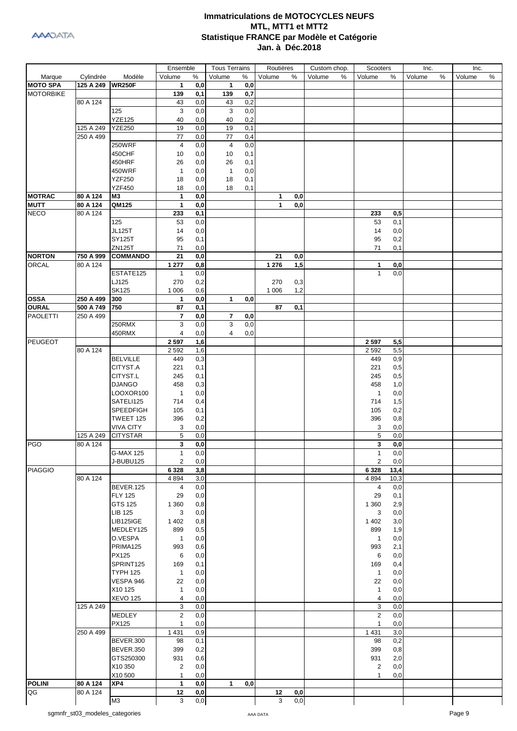|                  |           |                  | Ensemble       |          | <b>Tous Terrains</b> |     | Routières |     | Custom chop. | Scooters       |          | Inc.   |   | Inc.   |   |
|------------------|-----------|------------------|----------------|----------|----------------------|-----|-----------|-----|--------------|----------------|----------|--------|---|--------|---|
| Marque           | Cylindrée | Modèle           | Volume         | $\%$     | Volume               | %   | Volume    | %   | Volume<br>%  | Volume         | %        | Volume | % | Volume | % |
| <b>MOTO SPA</b>  | 125 A 249 | <b>WR250F</b>    | 1              | 0,0      | 1                    | 0,0 |           |     |              |                |          |        |   |        |   |
| <b>MOTORBIKE</b> |           |                  | 139            | 0,1      | 139                  | 0,7 |           |     |              |                |          |        |   |        |   |
|                  | 80 A 124  |                  | 43             | 0,0      | 43                   | 0,2 |           |     |              |                |          |        |   |        |   |
|                  |           | 125              | 3              | 0,0      | 3                    | 0,0 |           |     |              |                |          |        |   |        |   |
|                  |           | <b>YZE125</b>    | 40             | 0,0      | 40                   | 0,2 |           |     |              |                |          |        |   |        |   |
|                  | 125 A 249 | <b>YZE250</b>    | 19             | 0,0      | 19                   | 0,1 |           |     |              |                |          |        |   |        |   |
|                  | 250 A 499 |                  | 77             | 0,0      | 77                   | 0,4 |           |     |              |                |          |        |   |        |   |
|                  |           | 250WRF           | 4              | 0,0      | 4                    | 0,0 |           |     |              |                |          |        |   |        |   |
|                  |           |                  |                |          |                      |     |           |     |              |                |          |        |   |        |   |
|                  |           | 450CHF           | 10             | 0,0      | 10                   | 0,1 |           |     |              |                |          |        |   |        |   |
|                  |           | 450HRF           | 26             | 0,0      | 26                   | 0,1 |           |     |              |                |          |        |   |        |   |
|                  |           | 450WRF           | $\mathbf{1}$   | 0,0      | $\mathbf{1}$         | 0,0 |           |     |              |                |          |        |   |        |   |
|                  |           | <b>YZF250</b>    | 18             | 0,0      | 18                   | 0,1 |           |     |              |                |          |        |   |        |   |
|                  |           | <b>YZF450</b>    | 18             | 0,0      | 18                   | 0,1 |           |     |              |                |          |        |   |        |   |
| <b>MOTRAC</b>    | 80 A 124  | M3               | $\mathbf{1}$   | 0,0      |                      |     | 1         | 0,0 |              |                |          |        |   |        |   |
| <b>MUTT</b>      | 80 A 124  | QM125            | $\mathbf{1}$   | 0,0      |                      |     | 1         | 0,0 |              |                |          |        |   |        |   |
| <b>NECO</b>      | 80 A 124  |                  | 233            | 0,1      |                      |     |           |     |              | 233            | 0,5      |        |   |        |   |
|                  |           | 125              | 53             | 0,0      |                      |     |           |     |              | 53             | 0,1      |        |   |        |   |
|                  |           | <b>JL125T</b>    | 14             | 0,0      |                      |     |           |     |              | 14             | 0,0      |        |   |        |   |
|                  |           | <b>SY125T</b>    | 95             | 0,1      |                      |     |           |     |              | 95             | 0,2      |        |   |        |   |
|                  |           | ZN125T           | 71             | 0,0      |                      |     |           |     |              | 71             | 0,1      |        |   |        |   |
| <b>NORTON</b>    | 750 A 999 | <b>COMMANDO</b>  | 21             | 0,0      |                      |     | 21        | 0,0 |              |                |          |        |   |        |   |
| ORCAL            | 80 A 124  |                  | 1 277          | 0,8      |                      |     | 1 2 7 6   | 1,5 |              | 1              | 0,0      |        |   |        |   |
|                  |           |                  |                |          |                      |     |           |     |              | $\mathbf{1}$   | 0,0      |        |   |        |   |
|                  |           | ESTATE125        | $\mathbf{1}$   | 0,0      |                      |     |           |     |              |                |          |        |   |        |   |
|                  |           | LJ125            | 270            | 0,2      |                      |     | 270       | 0,3 |              |                |          |        |   |        |   |
|                  |           | <b>SK125</b>     | 1 0 0 6        | 0,6      |                      |     | 1 0 0 6   | 1,2 |              |                |          |        |   |        |   |
| <b>OSSA</b>      | 250 A 499 | 300              | $\mathbf{1}$   | 0,0      | $\mathbf 1$          | 0,0 |           |     |              |                |          |        |   |        |   |
| <b>OURAL</b>     | 500 A 749 | 750              | 87             | 0,1      |                      |     | 87        | 0,1 |              |                |          |        |   |        |   |
| <b>PAOLETTI</b>  | 250 A 499 |                  | $\overline{7}$ | 0,0      | 7                    | 0,0 |           |     |              |                |          |        |   |        |   |
|                  |           | 250RMX           | 3              | 0,0      | 3                    | 0,0 |           |     |              |                |          |        |   |        |   |
|                  |           | 450RMX           | 4              | 0,0      | 4                    | 0,0 |           |     |              |                |          |        |   |        |   |
| PEUGEOT          |           |                  | 2 5 9 7        | 1,6      |                      |     |           |     |              | 2 5 9 7        | 5,5      |        |   |        |   |
|                  | 80 A 124  |                  | 2 5 9 2        | 1,6      |                      |     |           |     |              | 2 5 9 2        | 5,5      |        |   |        |   |
|                  |           | <b>BELVILLE</b>  | 449            | 0,3      |                      |     |           |     |              | 449            | 0,9      |        |   |        |   |
|                  |           | CITYST.A         | 221            | 0,1      |                      |     |           |     |              | 221            | 0,5      |        |   |        |   |
|                  |           | CITYST.L         | 245            | 0,1      |                      |     |           |     |              | 245            | 0,5      |        |   |        |   |
|                  |           | <b>DJANGO</b>    | 458            | 0,3      |                      |     |           |     |              | 458            | 1,0      |        |   |        |   |
|                  |           |                  |                |          |                      |     |           |     |              |                |          |        |   |        |   |
|                  |           | LOOXOR100        | $\mathbf{1}$   | 0,0      |                      |     |           |     |              | $\mathbf{1}$   | 0,0      |        |   |        |   |
|                  |           | SATELI125        | 714            | 0,4      |                      |     |           |     |              | 714            | 1,5      |        |   |        |   |
|                  |           | <b>SPEEDFIGH</b> | 105            | 0,1      |                      |     |           |     |              | 105            | 0,2      |        |   |        |   |
|                  |           | TWEET 125        | 396            | 0,2      |                      |     |           |     |              | 396            | 0,8      |        |   |        |   |
|                  |           | <b>VIVA CITY</b> | 3              | 0,0      |                      |     |           |     |              | 3              | 0,0      |        |   |        |   |
|                  | 125 A 249 | <b>CITYSTAR</b>  | 5              | 0,0      |                      |     |           |     |              | 5              | 0,0      |        |   |        |   |
| <b>PGO</b>       | 80 A 124  |                  | 3              | 0,0      |                      |     |           |     |              | 3              | 0,0      |        |   |        |   |
|                  |           | <b>G-MAX 125</b> | 1              | 0,0      |                      |     |           |     |              | 1              | $_{0,0}$ |        |   |        |   |
|                  |           | J-BUBU125        | $\overline{2}$ | 0,0      |                      |     |           |     |              | $\mathbf{2}$   | 0,0      |        |   |        |   |
| <b>PIAGGIO</b>   |           |                  | 6 3 2 8        | 3,8      |                      |     |           |     |              | 6 3 2 8        | 13,4     |        |   |        |   |
|                  | 80 A 124  |                  | 4 8 9 4        | 3,0      |                      |     |           |     |              | 4 8 9 4        | 10,3     |        |   |        |   |
|                  |           | BEVER.125        | 4              | 0,0      |                      |     |           |     |              | 4              | 0,0      |        |   |        |   |
|                  |           | <b>FLY 125</b>   | 29             | 0,0      |                      |     |           |     |              | 29             | 0,1      |        |   |        |   |
|                  |           | GTS 125          |                |          |                      |     |           |     |              |                |          |        |   |        |   |
|                  |           |                  | 1 3 6 0        | 0,8      |                      |     |           |     |              | 1 3 6 0        | 2,9      |        |   |        |   |
|                  |           | <b>LIB 125</b>   | 3              | 0,0      |                      |     |           |     |              | 3              | 0,0      |        |   |        |   |
|                  |           | <b>LIB125IGE</b> | 1 4 0 2        | 0,8      |                      |     |           |     |              | 1 4 0 2        | 3,0      |        |   |        |   |
|                  |           | MEDLEY125        | 899            | 0,5      |                      |     |           |     |              | 899            | 1,9      |        |   |        |   |
|                  |           | O.VESPA          | $\mathbf{1}$   | 0,0      |                      |     |           |     |              | $\mathbf{1}$   | 0,0      |        |   |        |   |
|                  |           | PRIMA125         | 993            | 0,6      |                      |     |           |     |              | 993            | 2,1      |        |   |        |   |
|                  |           | PX125            | 6              | 0,0      |                      |     |           |     |              | 6              | 0,0      |        |   |        |   |
|                  |           | SPRINT125        | 169            | 0,1      |                      |     |           |     |              | 169            | 0,4      |        |   |        |   |
|                  |           | <b>TYPH 125</b>  | $\mathbf{1}$   | 0,0      |                      |     |           |     |              | $\mathbf{1}$   | 0,0      |        |   |        |   |
|                  |           | VESPA 946        | 22             | 0,0      |                      |     |           |     |              | 22             | 0,0      |        |   |        |   |
|                  |           | X10 125          | $\mathbf{1}$   | 0,0      |                      |     |           |     |              | $\mathbf{1}$   | 0,0      |        |   |        |   |
|                  |           | <b>XEVO 125</b>  | 4              | 0,0      |                      |     |           |     |              | 4              | 0,0      |        |   |        |   |
|                  | 125 A 249 |                  | 3              | 0,0      |                      |     |           |     |              | 3              | 0,0      |        |   |        |   |
|                  |           | MEDLEY           | $\overline{2}$ | 0,0      |                      |     |           |     |              | $\overline{c}$ | 0,0      |        |   |        |   |
|                  |           | PX125            | $\mathbf{1}$   | 0,0      |                      |     |           |     |              | $\mathbf{1}$   | 0,0      |        |   |        |   |
|                  | 250 A 499 |                  | 1 4 3 1        | 0,9      |                      |     |           |     |              | 1 4 3 1        | 3,0      |        |   |        |   |
|                  |           | BEVER.300        | 98             |          |                      |     |           |     |              | 98             | 0,2      |        |   |        |   |
|                  |           |                  |                | 0,1      |                      |     |           |     |              |                |          |        |   |        |   |
|                  |           | BEVER.350        | 399            | 0,2      |                      |     |           |     |              | 399            | 0,8      |        |   |        |   |
|                  |           | GTS250300        | 931            | 0,6      |                      |     |           |     |              | 931            | 2,0      |        |   |        |   |
|                  |           | X10 350          | 2              | 0,0      |                      |     |           |     |              | $\overline{2}$ | 0,0      |        |   |        |   |
|                  |           | X10 500          | $\mathbf{1}$   | 0,0      |                      |     |           |     |              | $\mathbf{1}$   | 0,0      |        |   |        |   |
| <b>POLINI</b>    | 80 A 124  | XP4              | 1              | 0,0      | $\mathbf 1$          | 0,0 |           |     |              |                |          |        |   |        |   |
| QG               | 80 A 124  |                  | 12             | 0,0      |                      |     | 12        | 0,0 |              |                |          |        |   |        |   |
|                  |           | M3               | 3              | $_{0,0}$ |                      |     | 3         | 0,0 |              |                |          |        |   |        |   |
|                  |           |                  |                |          |                      |     |           |     |              |                |          |        |   |        |   |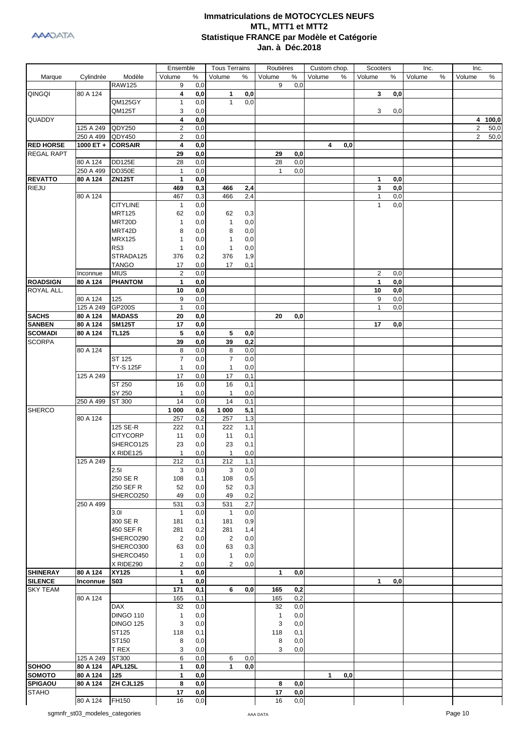|                   |           |                  | Ensemble       |     | <b>Tous Terrains</b> |     | Routières    |                | Custom chop.        | Scooters       |     | Inc.   |   | Inc.           |         |
|-------------------|-----------|------------------|----------------|-----|----------------------|-----|--------------|----------------|---------------------|----------------|-----|--------|---|----------------|---------|
| Marque            | Cylindrée | Modèle           | Volume         | %   | Volume               | %   | Volume       | ℅              | Volume<br>%         | Volume         | ℅   | Volume | % | Volume         | ℅       |
|                   |           | <b>RAW125</b>    | 9              | 0,0 |                      |     | 9            | 0,0            |                     |                |     |        |   |                |         |
| QINGQI            | 80 A 124  |                  | 4              | 0,0 | $\mathbf{1}$         | 0,0 |              |                |                     | 3              | 0,0 |        |   |                |         |
|                   |           | <b>QM125GY</b>   | $\mathbf{1}$   | 0,0 | $\mathbf{1}$         | 0,0 |              |                |                     |                |     |        |   |                |         |
|                   |           | QM125T           | 3              | 0,0 |                      |     |              |                |                     | 3              | 0,0 |        |   |                |         |
| QUADDY            |           |                  | 4              | 0,0 |                      |     |              |                |                     |                |     |        |   |                | 4 100,0 |
|                   | 125 A 249 | QDY250           | $\overline{2}$ | 0,0 |                      |     |              |                |                     |                |     |        |   | $\overline{2}$ | 50,0    |
|                   | 250 A 499 | QDY450           | $\overline{2}$ | 0,0 |                      |     |              |                |                     |                |     |        |   | $\overline{2}$ | 50,0    |
| <b>RED HORSE</b>  | 1000 ET + | <b>CORSAIR</b>   | 4              | 0,0 |                      |     |              |                | 4<br>0,0            |                |     |        |   |                |         |
| <b>REGAL RAPT</b> |           |                  | 29             | 0,0 |                      |     | 29           | 0,0            |                     |                |     |        |   |                |         |
|                   |           | <b>DD125E</b>    |                |     |                      |     |              |                |                     |                |     |        |   |                |         |
|                   | 80 A 124  |                  | 28             | 0,0 |                      |     | 28           | 0,0            |                     |                |     |        |   |                |         |
|                   | 250 A 499 | <b>DD350E</b>    | 1              | 0,0 |                      |     | 1            | 0,0            |                     |                |     |        |   |                |         |
| <b>REVATTO</b>    | 80 A 124  | <b>ZN125T</b>    | $\mathbf{1}$   | 0,0 |                      |     |              |                |                     | 1              | 0,0 |        |   |                |         |
| <b>RIEJU</b>      |           |                  | 469            | 0,3 | 466                  | 2,4 |              |                |                     | 3              | 0,0 |        |   |                |         |
|                   | 80 A 124  |                  | 467            | 0,3 | 466                  | 2,4 |              |                |                     | $\mathbf{1}$   | 0,0 |        |   |                |         |
|                   |           | <b>CITYLINE</b>  | 1              | 0,0 |                      |     |              |                |                     | $\mathbf{1}$   | 0,0 |        |   |                |         |
|                   |           | <b>MRT125</b>    | 62             | 0,0 | 62                   | 0,3 |              |                |                     |                |     |        |   |                |         |
|                   |           | MRT20D           | $\mathbf{1}$   | 0,0 | $\mathbf{1}$         | 0,0 |              |                |                     |                |     |        |   |                |         |
|                   |           | MRT42D           | 8              | 0,0 | 8                    | 0,0 |              |                |                     |                |     |        |   |                |         |
|                   |           | <b>MRX125</b>    | 1              | 0,0 | $\mathbf{1}$         | 0,0 |              |                |                     |                |     |        |   |                |         |
|                   |           | RS3              | 1              | 0,0 | $\mathbf{1}$         | 0,0 |              |                |                     |                |     |        |   |                |         |
|                   |           | STRADA125        | 376            | 0,2 | 376                  | 1,9 |              |                |                     |                |     |        |   |                |         |
|                   |           | <b>TANGO</b>     | 17             | 0,0 | 17                   | 0,1 |              |                |                     |                |     |        |   |                |         |
|                   | Inconnue  | <b>MIUS</b>      | $\overline{2}$ | 0,0 |                      |     |              |                |                     | $\overline{2}$ | 0,0 |        |   |                |         |
| <b>ROADSIGN</b>   | 80 A 124  | <b>PHANTOM</b>   | 1              | 0,0 |                      |     |              |                |                     | 1              | 0,0 |        |   |                |         |
| ROYAL ALL.        |           |                  | 10             | 0,0 |                      |     |              |                |                     | 10             | 0,0 |        |   |                |         |
|                   | 80 A 124  | 125              | 9              | 0,0 |                      |     |              |                |                     | 9              | 0,0 |        |   |                |         |
|                   | 125 A 249 | GP200S           | 1              | 0,0 |                      |     |              |                |                     | $\mathbf{1}$   | 0,0 |        |   |                |         |
| <b>SACHS</b>      | 80 A 124  | <b>MADASS</b>    | 20             | 0,0 |                      |     | 20           | 0,0            |                     |                |     |        |   |                |         |
| <b>SANBEN</b>     | 80 A 124  | <b>SM125T</b>    | 17             | 0,0 |                      |     |              |                |                     | 17             | 0,0 |        |   |                |         |
| <b>SCOMADI</b>    | 80 A 124  | <b>TL125</b>     | 5              | 0,0 | 5                    | 0,0 |              |                |                     |                |     |        |   |                |         |
| <b>SCORPA</b>     |           |                  | 39             | 0,0 | 39                   | 0,2 |              |                |                     |                |     |        |   |                |         |
|                   | 80 A 124  |                  | 8              | 0,0 | 8                    | 0,0 |              |                |                     |                |     |        |   |                |         |
|                   |           | ST 125           | $\overline{7}$ | 0,0 | $\overline{7}$       | 0,0 |              |                |                     |                |     |        |   |                |         |
|                   |           | <b>TY-S 125F</b> | $\mathbf{1}$   | 0,0 | $\mathbf{1}$         | 0,0 |              |                |                     |                |     |        |   |                |         |
|                   | 125 A 249 |                  |                |     |                      |     |              |                |                     |                |     |        |   |                |         |
|                   |           |                  | 17             | 0,0 | 17                   | 0,1 |              |                |                     |                |     |        |   |                |         |
|                   |           | ST 250           | 16             | 0,0 | 16                   | 0,1 |              |                |                     |                |     |        |   |                |         |
|                   |           | SY 250           | $\mathbf{1}$   | 0,0 | 1                    | 0,0 |              |                |                     |                |     |        |   |                |         |
|                   | 250 A 499 | ST 300           | 14             | 0,0 | 14                   | 0,1 |              |                |                     |                |     |        |   |                |         |
| <b>SHERCO</b>     |           |                  | 1 000          | 0,6 | 1 000                | 5,1 |              |                |                     |                |     |        |   |                |         |
|                   | 80 A 124  |                  | 257            | 0,2 | 257                  | 1,3 |              |                |                     |                |     |        |   |                |         |
|                   |           | 125 SE-R         | 222            | 0,1 | 222                  | 1,1 |              |                |                     |                |     |        |   |                |         |
|                   |           | <b>CITYCORP</b>  | 11             | 0,0 | 11                   | 0,1 |              |                |                     |                |     |        |   |                |         |
|                   |           | SHERCO125        | 23             | 0,0 | 23                   | 0,1 |              |                |                     |                |     |        |   |                |         |
|                   |           | X RIDE125        | -1             | 0,0 | 1                    | 0,0 |              |                |                     |                |     |        |   |                |         |
|                   | 125 A 249 |                  | 212            | 0,1 | 212                  | 1,1 |              |                |                     |                |     |        |   |                |         |
|                   |           | 2.51             | 3              | 0,0 | 3                    | 0,0 |              |                |                     |                |     |        |   |                |         |
|                   |           | 250 SE R         | 108            | 0,1 | 108                  | 0,5 |              |                |                     |                |     |        |   |                |         |
|                   |           | 250 SEF R        | 52             | 0,0 | 52                   | 0,3 |              |                |                     |                |     |        |   |                |         |
|                   |           | SHERCO250        | 49             | 0,0 | 49                   | 0,2 |              |                |                     |                |     |        |   |                |         |
|                   | 250 A 499 |                  | 531            | 0,3 | 531                  | 2,7 |              |                |                     |                |     |        |   |                |         |
|                   |           | 3.01             | $\mathbf{1}$   | 0,0 | $\overline{1}$       | 0,0 |              |                |                     |                |     |        |   |                |         |
|                   |           | 300 SE R         | 181            | 0,1 | 181                  | 0,9 |              |                |                     |                |     |        |   |                |         |
|                   |           | 450 SEF R        | 281            | 0,2 | 281                  | 1,4 |              |                |                     |                |     |        |   |                |         |
|                   |           | SHERCO290        | $\overline{2}$ | 0,0 | $\overline{c}$       | 0,0 |              |                |                     |                |     |        |   |                |         |
|                   |           | SHERCO300        | 63             | 0,0 | 63                   | 0,3 |              |                |                     |                |     |        |   |                |         |
|                   |           | SHERCO450        | $\mathbf{1}$   | 0,0 | $\mathbf{1}$         | 0,0 |              |                |                     |                |     |        |   |                |         |
|                   |           | X RIDE290        | $\overline{2}$ | 0,0 | $\overline{2}$       | 0,0 |              |                |                     |                |     |        |   |                |         |
| <b>SHINERAY</b>   | 80 A 124  | XY125            | 1              | 0,0 |                      |     | $\mathbf{1}$ | 0,0            |                     |                |     |        |   |                |         |
| <b>SILENCE</b>    | Inconnue  | <b>S03</b>       | 1              | 0,0 |                      |     |              |                |                     | 1              | 0,0 |        |   |                |         |
| <b>SKY TEAM</b>   |           |                  | 171            | 0,1 | 6                    | 0,0 | 165          | 0,2            |                     |                |     |        |   |                |         |
|                   | 80 A 124  |                  | 165            | 0,1 |                      |     | 165          | 0,2            |                     |                |     |        |   |                |         |
|                   |           | <b>DAX</b>       | 32             | 0,0 |                      |     | 32           | 0,0            |                     |                |     |        |   |                |         |
|                   |           | <b>DINGO 110</b> | 1              | 0,0 |                      |     | $\mathbf{1}$ | 0,0            |                     |                |     |        |   |                |         |
|                   |           | <b>DINGO 125</b> | 3              | 0,0 |                      |     | 3            | 0,0            |                     |                |     |        |   |                |         |
|                   |           | ST125            | 118            | 0,1 |                      |     | 118          | 0,1            |                     |                |     |        |   |                |         |
|                   |           | ST150            |                |     |                      |     |              | 0,0            |                     |                |     |        |   |                |         |
|                   |           |                  | 8              | 0,0 |                      |     | 8            |                |                     |                |     |        |   |                |         |
|                   |           | T REX            | 3              | 0,0 |                      |     | 3            | 0,0            |                     |                |     |        |   |                |         |
|                   | 125 A 249 | ST300            | 6              | 0,0 | 6                    | 0,0 |              |                |                     |                |     |        |   |                |         |
| <b>SOHOO</b>      | 80 A 124  | <b>APL125L</b>   | 1              | 0,0 | $\mathbf{1}$         | 0,0 |              |                |                     |                |     |        |   |                |         |
| <b>SOMOTO</b>     | 80 A 124  | 125              | 1              | 0,0 |                      |     |              |                | $\mathbf{1}$<br>0,0 |                |     |        |   |                |         |
| <b>SPIGAOU</b>    | 80 A 124  | ZH CJL125        | 8              | 0,0 |                      |     | 8            | 0,0            |                     |                |     |        |   |                |         |
| <b>STAHO</b>      |           |                  | 17             | 0,0 |                      |     | 17           | $\mathbf{0,0}$ |                     |                |     |        |   |                |         |
|                   | 80 A 124  | FH150            | 16             | 0,0 |                      |     | 16           | 0,0            |                     |                |     |        |   |                |         |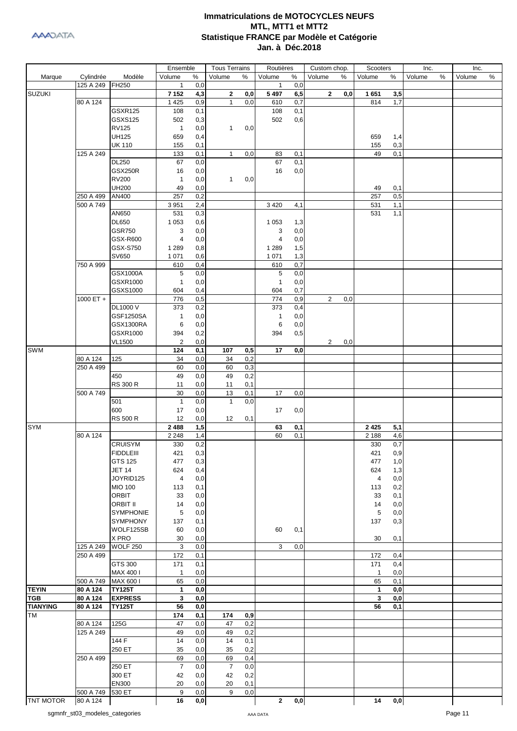

|                  |           |                  | Ensemble       |      | <b>Tous Terrains</b> |     | Routières      |                | Custom chop.   |      | Scooters     |                | Inc.   |   | Inc.   |   |
|------------------|-----------|------------------|----------------|------|----------------------|-----|----------------|----------------|----------------|------|--------------|----------------|--------|---|--------|---|
| Marque           | Cylindrée | Modèle           | Volume         | $\%$ | Volume               | %   | Volume         | $\%$           | Volume         | $\%$ | Volume       | %              | Volume | % | Volume | % |
|                  | 125 A 249 | FH250            | $\mathbf{1}$   | 0,0  |                      |     | $\mathbf{1}$   | 0,0            |                |      |              |                |        |   |        |   |
| <b>SUZUKI</b>    |           |                  | 7 1 5 2        | 4,3  | $\mathbf{2}$         | 0,0 | 5497           | 6,5            | $\mathbf{2}$   | 0,0  | 1651         | 3,5            |        |   |        |   |
|                  | 80 A 124  |                  | 1 4 2 5        | 0,9  | $\mathbf{1}$         | 0,0 | 610            | 0,7            |                |      | 814          | 1,7            |        |   |        |   |
|                  |           | <b>GSXR125</b>   | 108            | 0,1  |                      |     | 108            | 0,1            |                |      |              |                |        |   |        |   |
|                  |           | GSXS125          | 502            | 0,3  |                      |     | 502            | 0,6            |                |      |              |                |        |   |        |   |
|                  |           | <b>RV125</b>     | $\mathbf{1}$   | 0,0  | $\mathbf{1}$         | 0,0 |                |                |                |      |              |                |        |   |        |   |
|                  |           | <b>UH125</b>     | 659            | 0,4  |                      |     |                |                |                |      | 659          | 1,4            |        |   |        |   |
|                  |           | <b>UK 110</b>    | 155            | 0,1  |                      |     |                |                |                |      | 155          | 0,3            |        |   |        |   |
|                  | 125 A 249 |                  | 133            | 0,1  | $\mathbf{1}$         | 0,0 | 83             | 0,1            |                |      | 49           | 0,1            |        |   |        |   |
|                  |           | <b>DL250</b>     | 67             | 0,0  |                      |     | 67             | 0,1            |                |      |              |                |        |   |        |   |
|                  |           | <b>GSX250R</b>   |                |      |                      |     |                |                |                |      |              |                |        |   |        |   |
|                  |           |                  | 16             | 0,0  |                      |     | 16             | 0,0            |                |      |              |                |        |   |        |   |
|                  |           | <b>RV200</b>     | $\mathbf{1}$   | 0,0  | $\mathbf{1}$         | 0,0 |                |                |                |      |              |                |        |   |        |   |
|                  |           | <b>UH200</b>     | 49             | 0,0  |                      |     |                |                |                |      | 49           | 0,1            |        |   |        |   |
|                  | 250 A 499 | AN400            | 257            | 0,2  |                      |     |                |                |                |      | 257          | 0,5            |        |   |        |   |
|                  | 500 A 749 |                  | 3 9 5 1        | 2,4  |                      |     | 3 4 2 0        | 4,1            |                |      | 531          | 1,1            |        |   |        |   |
|                  |           | AN650            | 531            | 0,3  |                      |     |                |                |                |      | 531          | 1,1            |        |   |        |   |
|                  |           | <b>DL650</b>     | 1 0 5 3        | 0,6  |                      |     | 1 0 5 3        | 1,3            |                |      |              |                |        |   |        |   |
|                  |           | <b>GSR750</b>    | 3              | 0,0  |                      |     | 3              | 0,0            |                |      |              |                |        |   |        |   |
|                  |           | GSX-R600         | 4              | 0,0  |                      |     | $\overline{4}$ | 0,0            |                |      |              |                |        |   |        |   |
|                  |           | GSX-S750         | 1 2 8 9        | 0,8  |                      |     | 1 2 8 9        | 1,5            |                |      |              |                |        |   |        |   |
|                  |           | SV650            | 1 0 7 1        | 0,6  |                      |     | 1 0 7 1        | 1,3            |                |      |              |                |        |   |        |   |
|                  | 750 A 999 |                  | 610            | 0,4  |                      |     | 610            | 0,7            |                |      |              |                |        |   |        |   |
|                  |           | GSX1000A         | 5              | 0,0  |                      |     | 5              | 0,0            |                |      |              |                |        |   |        |   |
|                  |           | GSXR1000         | $\mathbf{1}$   | 0,0  |                      |     | $\mathbf{1}$   | 0,0            |                |      |              |                |        |   |        |   |
|                  |           | GSXS1000         | 604            | 0,4  |                      |     | 604            | 0,7            |                |      |              |                |        |   |        |   |
|                  | 1000 ET + |                  | 776            | 0,5  |                      |     | 774            | 0,9            | 2              | 0,0  |              |                |        |   |        |   |
|                  |           |                  |                |      |                      |     |                |                |                |      |              |                |        |   |        |   |
|                  |           | DL1000 V         | 373            | 0,2  |                      |     | 373            | 0,4            |                |      |              |                |        |   |        |   |
|                  |           | GSF1250SA        | $\mathbf{1}$   | 0,0  |                      |     | $\mathbf{1}$   | 0,0            |                |      |              |                |        |   |        |   |
|                  |           | GSX1300RA        | 6              | 0,0  |                      |     | 6              | 0,0            |                |      |              |                |        |   |        |   |
|                  |           | GSXR1000         | 394            | 0,2  |                      |     | 394            | 0,5            |                |      |              |                |        |   |        |   |
|                  |           | <b>VL1500</b>    | $\overline{2}$ | 0,0  |                      |     |                |                | $\overline{2}$ | 0,0  |              |                |        |   |        |   |
| <b>SWM</b>       |           |                  | 124            | 0,1  | 107                  | 0,5 | 17             | 0,0            |                |      |              |                |        |   |        |   |
|                  | 80 A 124  | 125              | 34             | 0,0  | 34                   | 0,2 |                |                |                |      |              |                |        |   |        |   |
|                  | 250 A 499 |                  | 60             | 0,0  | 60                   | 0,3 |                |                |                |      |              |                |        |   |        |   |
|                  |           | 450              | 49             | 0,0  | 49                   | 0,2 |                |                |                |      |              |                |        |   |        |   |
|                  |           | <b>RS 300 R</b>  | 11             | 0,0  | 11                   | 0,1 |                |                |                |      |              |                |        |   |        |   |
|                  | 500 A 749 |                  | 30             | 0,0  | 13                   | 0,1 | 17             | 0,0            |                |      |              |                |        |   |        |   |
|                  |           | 501              | $\overline{1}$ | 0,0  | $\mathbf{1}$         | 0,0 |                |                |                |      |              |                |        |   |        |   |
|                  |           | 600              | 17             | 0,0  |                      |     | 17             | 0,0            |                |      |              |                |        |   |        |   |
|                  |           | <b>RS 500 R</b>  | 12             | 0,0  | 12                   | 0,1 |                |                |                |      |              |                |        |   |        |   |
| <b>SYM</b>       |           |                  | 2488           | 1,5  |                      |     | 63             | 0,1            |                |      | 2 4 2 5      | 5,1            |        |   |        |   |
|                  | 80 A 124  |                  | 2 2 4 8        | 1,4  |                      |     | 60             | 0,1            |                |      | 2 1 8 8      | 4,6            |        |   |        |   |
|                  |           | <b>CRUISYM</b>   | 330            | 0,2  |                      |     |                |                |                |      | 330          | 0,7            |        |   |        |   |
|                  |           |                  |                |      |                      |     |                |                |                |      | 421          |                |        |   |        |   |
|                  |           | <b>FIDDLEIII</b> | 421            | 0,3  |                      |     |                |                |                |      |              | 0,9            |        |   |        |   |
|                  |           | GTS 125          | 477            | 0,3  |                      |     |                |                |                |      | 477          | 1,0            |        |   |        |   |
|                  |           | <b>JET 14</b>    | 624            | 0,4  |                      |     |                |                |                |      | 624          | 1,3            |        |   |        |   |
|                  |           | JOYRID125        | $\overline{4}$ | 0,0  |                      |     |                |                |                |      | 4            | 0,0            |        |   |        |   |
|                  |           | <b>MIO 100</b>   | 113            | 0,1  |                      |     |                |                |                |      | 113          | 0,2            |        |   |        |   |
|                  |           | <b>ORBIT</b>     | 33             | 0,0  |                      |     |                |                |                |      | 33           | 0,1            |        |   |        |   |
|                  |           | <b>ORBIT II</b>  | 14             | 0,0  |                      |     |                |                |                |      | 14           | 0,0            |        |   |        |   |
|                  |           | <b>SYMPHONIE</b> | 5              | 0,0  |                      |     |                |                |                |      | 5            | 0,0            |        |   |        |   |
|                  |           | <b>SYMPHONY</b>  | 137            | 0,1  |                      |     |                |                |                |      | 137          | 0,3            |        |   |        |   |
|                  |           | WOLF125SB        | 60             | 0,0  |                      |     | 60             | 0,1            |                |      |              |                |        |   |        |   |
|                  |           | X PRO            | 30             | 0,0  |                      |     |                |                |                |      | 30           | 0,1            |        |   |        |   |
|                  | 125 A 249 | <b>WOLF 250</b>  | 3              | 0,0  |                      |     | 3              | 0,0            |                |      |              |                |        |   |        |   |
|                  | 250 A 499 |                  | 172            | 0,1  |                      |     |                |                |                |      | 172          | 0,4            |        |   |        |   |
|                  |           | GTS 300          | 171            | 0,1  |                      |     |                |                |                |      | 171          | 0,4            |        |   |        |   |
|                  |           | MAX 400 I        | $\mathbf{1}$   | 0,0  |                      |     |                |                |                |      | $\mathbf{1}$ | 0,0            |        |   |        |   |
|                  | 500 A 749 | MAX 600 I        | 65             | 0,0  |                      |     |                |                |                |      | 65           | 0,1            |        |   |        |   |
| <b>TEYIN</b>     | 80 A 124  | <b>TY125T</b>    | 1              | 0,0  |                      |     |                |                |                |      | $\mathbf{1}$ | 0, 0           |        |   |        |   |
|                  |           |                  |                |      |                      |     |                |                |                |      |              |                |        |   |        |   |
| TGB              | 80 A 124  | <b>EXPRESS</b>   | 3              | 0,0  |                      |     |                |                |                |      | 3            | 0,0            |        |   |        |   |
| <b>TIANYING</b>  | 80 A 124  | <b>TY125T</b>    | 56             | 0,0  |                      |     |                |                |                |      | 56           | 0,1            |        |   |        |   |
| TM               |           |                  | 174            | 0,1  | 174                  | 0,9 |                |                |                |      |              |                |        |   |        |   |
|                  | 80 A 124  | 125G             | 47             | 0,0  | 47                   | 0,2 |                |                |                |      |              |                |        |   |        |   |
|                  | 125 A 249 |                  | 49             | 0,0  | 49                   | 0,2 |                |                |                |      |              |                |        |   |        |   |
|                  |           | 144 F            | 14             | 0,0  | 14                   | 0,1 |                |                |                |      |              |                |        |   |        |   |
|                  |           | 250 ET           | 35             | 0,0  | 35                   | 0,2 |                |                |                |      |              |                |        |   |        |   |
|                  | 250 A 499 |                  | 69             | 0,0  | 69                   | 0,4 |                |                |                |      |              |                |        |   |        |   |
|                  |           | 250 ET           | $\overline{7}$ | 0,0  | $\overline{7}$       | 0,0 |                |                |                |      |              |                |        |   |        |   |
|                  |           | 300 ET           | 42             | 0,0  | 42                   | 0,2 |                |                |                |      |              |                |        |   |        |   |
|                  |           | EN300            | 20             | 0,0  | 20                   | 0,1 |                |                |                |      |              |                |        |   |        |   |
|                  | 500 A 749 | 530 ET           | 9              | 0,0  | 9                    | 0,0 |                |                |                |      |              |                |        |   |        |   |
| <b>TNT MOTOR</b> | 80 A 124  |                  | 16             | 0,0  |                      |     | $\mathbf{2}$   | $\mathbf{0,0}$ |                |      | 14           | $\mathbf{0,0}$ |        |   |        |   |
|                  |           |                  |                |      |                      |     |                |                |                |      |              |                |        |   |        |   |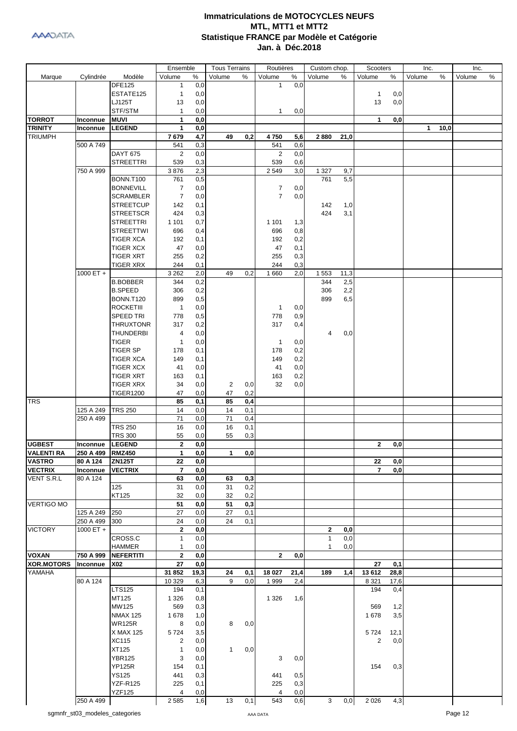|                   |                                |                  | Ensemble                     |             | <b>Tous Terrains</b> |     | Routières      |            | Custom chop.   |             | Scooters       |             | Inc.   |      | Inc.    |      |
|-------------------|--------------------------------|------------------|------------------------------|-------------|----------------------|-----|----------------|------------|----------------|-------------|----------------|-------------|--------|------|---------|------|
| Marque            | Cylindrée                      | Modèle           | Volume                       | $\%$        | Volume               | %   | Volume         | $\%$       | Volume         | %           | Volume         | %           | Volume | %    | Volume  | $\%$ |
|                   |                                | <b>DFE125</b>    | 1                            | 0,0         |                      |     | $\mathbf{1}$   | 0,0        |                |             |                |             |        |      |         |      |
|                   |                                | ESTATE125        | 1                            | 0,0         |                      |     |                |            |                |             | $\mathbf{1}$   | 0,0         |        |      |         |      |
|                   |                                | LJ125T           | 13                           | 0,0         |                      |     |                |            |                |             | 13             | 0,0         |        |      |         |      |
|                   |                                | STF/STM          | $\mathbf{1}$                 | 0,0         |                      |     | $\mathbf{1}$   | 0,0        |                |             |                |             |        |      |         |      |
| <b>TORROT</b>     | Inconnue                       | <b>MUVI</b>      | 1                            | 0,0         |                      |     |                |            |                |             | 1              | 0,0         |        |      |         |      |
| <b>TRINITY</b>    | Inconnue                       | <b>LEGEND</b>    | 1                            | 0,0         |                      |     |                |            |                |             |                |             | 1      | 10,0 |         |      |
| <b>TRIUMPH</b>    |                                |                  | 7679                         | 4,7         | 49                   | 0,2 | 4750           | 5,6        | 2880           | 21,0        |                |             |        |      |         |      |
|                   | 500 A 749                      |                  | 541                          | 0,3         |                      |     | 541            | 0,6        |                |             |                |             |        |      |         |      |
|                   |                                | <b>DAYT 675</b>  | 2                            | 0,0         |                      |     | 2              | 0,0        |                |             |                |             |        |      |         |      |
|                   |                                | <b>STREETTRI</b> | 539                          | 0,3         |                      |     | 539            | 0,6        |                |             |                |             |        |      |         |      |
|                   | 750 A 999                      |                  | 3876                         | 2,3         |                      |     | 2 5 4 9        | 3,0        | 1 3 2 7        | 9,7         |                |             |        |      |         |      |
|                   |                                | <b>BONN.T100</b> | 761                          | 0,5         |                      |     |                |            | 761            | 5,5         |                |             |        |      |         |      |
|                   |                                | <b>BONNEVILL</b> | 7                            | 0,0         |                      |     | 7              | 0,0        |                |             |                |             |        |      |         |      |
|                   |                                | <b>SCRAMBLER</b> | $\overline{7}$               | 0,0         |                      |     | $\overline{7}$ | 0,0        |                |             |                |             |        |      |         |      |
|                   |                                | <b>STREETCUP</b> | 142                          | 0,1         |                      |     |                |            | 142            | 1,0         |                |             |        |      |         |      |
|                   |                                | <b>STREETSCR</b> | 424                          | 0,3         |                      |     |                |            | 424            | 3,1         |                |             |        |      |         |      |
|                   |                                | <b>STREETTRI</b> | 1 1 0 1                      | 0,7         |                      |     | 1 1 0 1        | 1,3        |                |             |                |             |        |      |         |      |
|                   |                                | <b>STREETTWI</b> | 696                          | 0,4         |                      |     | 696            | 0,8        |                |             |                |             |        |      |         |      |
|                   |                                | <b>TIGER XCA</b> | 192                          | 0,1         |                      |     | 192            | 0,2        |                |             |                |             |        |      |         |      |
|                   |                                | <b>TIGER XCX</b> | 47                           | 0,0         |                      |     | 47             | 0,1        |                |             |                |             |        |      |         |      |
|                   |                                | <b>TIGER XRT</b> | 255                          | 0,2         |                      |     | 255            | 0,3<br>0,3 |                |             |                |             |        |      |         |      |
|                   |                                | <b>TIGER XRX</b> | 244                          | 0,1         |                      |     | 244            |            |                |             |                |             |        |      |         |      |
|                   | 1000 ET +                      | <b>B.BOBBER</b>  | 3 2 6 2<br>344               | 2,0         | 49                   | 0,2 | 1660           | 2,0        | 1 5 5 3<br>344 | 11,3<br>2,5 |                |             |        |      |         |      |
|                   |                                | <b>B.SPEED</b>   | 306                          | 0,2<br>0,2  |                      |     |                |            | 306            | 2,2         |                |             |        |      |         |      |
|                   |                                | <b>BONN.T120</b> | 899                          | 0,5         |                      |     |                |            | 899            | 6,5         |                |             |        |      |         |      |
|                   |                                | <b>ROCKETIII</b> | $\mathbf{1}$                 | 0,0         |                      |     | $\mathbf{1}$   | 0,0        |                |             |                |             |        |      |         |      |
|                   |                                | <b>SPEED TRI</b> | 778                          | 0,5         |                      |     | 778            | 0,9        |                |             |                |             |        |      |         |      |
|                   |                                | <b>THRUXTONR</b> | 317                          | 0,2         |                      |     | 317            | 0,4        |                |             |                |             |        |      |         |      |
|                   |                                | <b>THUNDERBI</b> | 4                            | 0,0         |                      |     |                |            | 4              | 0,0         |                |             |        |      |         |      |
|                   |                                | <b>TIGER</b>     | 1                            | 0,0         |                      |     | $\mathbf{1}$   | 0,0        |                |             |                |             |        |      |         |      |
|                   |                                | <b>TIGER SP</b>  | 178                          | 0,1         |                      |     | 178            | 0,2        |                |             |                |             |        |      |         |      |
|                   |                                | <b>TIGER XCA</b> | 149                          | 0,1         |                      |     | 149            | 0,2        |                |             |                |             |        |      |         |      |
|                   |                                | <b>TIGER XCX</b> | 41                           | 0,0         |                      |     | 41             | 0,0        |                |             |                |             |        |      |         |      |
|                   |                                | <b>TIGER XRT</b> | 163                          | 0,1         |                      |     | 163            | 0,2        |                |             |                |             |        |      |         |      |
|                   |                                | <b>TIGER XRX</b> | 34                           | 0,0         | 2                    | 0,0 | 32             | 0,0        |                |             |                |             |        |      |         |      |
|                   |                                | <b>TIGER1200</b> | 47                           | 0,0         | 47                   | 0,2 |                |            |                |             |                |             |        |      |         |      |
| <b>TRS</b>        |                                |                  | 85                           | 0,1         | 85                   | 0,4 |                |            |                |             |                |             |        |      |         |      |
|                   | 125 A 249                      | <b>TRS 250</b>   | 14                           | 0,0         | 14                   | 0,1 |                |            |                |             |                |             |        |      |         |      |
|                   | 250 A 499                      |                  | 71                           | 0,0         | 71                   | 0,4 |                |            |                |             |                |             |        |      |         |      |
|                   |                                | <b>TRS 250</b>   | 16                           | 0,0         | 16                   | 0,1 |                |            |                |             |                |             |        |      |         |      |
|                   |                                | <b>TRS 300</b>   | 55                           | 0,0         | 55                   | 0,3 |                |            |                |             |                |             |        |      |         |      |
| <b>UGBEST</b>     | Inconnue                       | <b>LEGEND</b>    | 2                            | 0,0         |                      |     |                |            |                |             | $\mathbf{2}$   | 0,0         |        |      |         |      |
| VALENTI RA        | 250 A 499                      | RMZ450           | 1                            | 0,0         | 1                    | 0,0 |                |            |                |             |                |             |        |      |         |      |
| <b>VASTRO</b>     | 80 A 124                       | <b>ZN125T</b>    | 22                           | 0,0         |                      |     |                |            |                |             | 22             | 0,0         |        |      |         |      |
| <b>VECTRIX</b>    | Inconnue                       | <b>VECTRIX</b>   | $\overline{\mathbf{r}}$      | 0,0         |                      |     |                |            |                |             | $\overline{7}$ | 0,0         |        |      |         |      |
| VENT S.R.L        | 80 A 124                       |                  | 63                           | 0,0         | 63                   | 0,3 |                |            |                |             |                |             |        |      |         |      |
|                   |                                | 125              | 31                           | 0,0         | 31                   | 0,2 |                |            |                |             |                |             |        |      |         |      |
|                   |                                | KT125            | 32                           | 0,0         | 32                   | 0,2 |                |            |                |             |                |             |        |      |         |      |
| <b>VERTIGO MO</b> |                                |                  | 51                           | 0,0         | 51                   | 0,3 |                |            |                |             |                |             |        |      |         |      |
|                   | 125 A 249                      | 250              | 27                           | 0,0         | 27                   | 0,1 |                |            |                |             |                |             |        |      |         |      |
|                   | 250 A 499                      | 300              | 24                           | 0,0         | 24                   | 0,1 |                |            |                |             |                |             |        |      |         |      |
| <b>VICTORY</b>    | 1000 ET +                      |                  | $\mathbf{2}$                 | 0,0         |                      |     |                |            | $\mathbf{2}$   | 0,0         |                |             |        |      |         |      |
|                   |                                | CROSS.C          | $\mathbf{1}$                 | 0,0         |                      |     |                |            | $\mathbf{1}$   | 0,0         |                |             |        |      |         |      |
| <b>VOXAN</b>      | 750 A 999                      | <b>HAMMER</b>    | $\mathbf{1}$<br>$\mathbf{2}$ | 0,0         |                      |     |                |            | 1              | 0,0         |                |             |        |      |         |      |
| <b>XOR.MOTORS</b> |                                | <b>NEFERTITI</b> | 27                           | 0,0         |                      |     | $\mathbf{2}$   | 0,0        |                |             | 27             |             |        |      |         |      |
| YAMAHA            | Inconnue                       | X02              | 31 852                       | 0,0<br>19,3 | 24                   | 0,1 | 18 027         | 21,4       | 189            | 1,4         | 13 612         | 0,1<br>28,8 |        |      |         |      |
|                   | 80 A 124                       |                  | 10 329                       | 6,3         | 9                    | 0,0 | 1 9 9 9        | 2,4        |                |             | 8 3 2 1        | 17,6        |        |      |         |      |
|                   |                                | <b>LTS125</b>    | 194                          | 0,1         |                      |     |                |            |                |             | 194            | 0,4         |        |      |         |      |
|                   |                                | MT125            | 1 3 2 6                      | 0,8         |                      |     | 1 3 2 6        | 1,6        |                |             |                |             |        |      |         |      |
|                   |                                | MW125            | 569                          | 0,3         |                      |     |                |            |                |             | 569            | 1,2         |        |      |         |      |
|                   |                                | <b>NMAX 125</b>  | 1678                         | 1,0         |                      |     |                |            |                |             | 1678           | 3,5         |        |      |         |      |
|                   |                                | <b>WR125R</b>    | 8                            | 0,0         | 8                    | 0,0 |                |            |                |             |                |             |        |      |         |      |
|                   |                                | X MAX 125        | 5724                         | 3,5         |                      |     |                |            |                |             | 5724           | 12,1        |        |      |         |      |
|                   |                                | <b>XC115</b>     | 2                            | 0,0         |                      |     |                |            |                |             | $\overline{c}$ | 0,0         |        |      |         |      |
|                   |                                | XT125            | $\mathbf{1}$                 | 0,0         | $\mathbf{1}$         | 0,0 |                |            |                |             |                |             |        |      |         |      |
|                   |                                | <b>YBR125</b>    | 3                            | 0,0         |                      |     | 3              | 0,0        |                |             |                |             |        |      |         |      |
|                   |                                | <b>YP125R</b>    | 154                          | 0,1         |                      |     |                |            |                |             | 154            | 0,3         |        |      |         |      |
|                   |                                | <b>YS125</b>     | 441                          | 0,3         |                      |     | 441            | 0,5        |                |             |                |             |        |      |         |      |
|                   |                                | <b>YZF-R125</b>  | 225                          | 0,1         |                      |     | 225            | 0,3        |                |             |                |             |        |      |         |      |
|                   |                                | <b>YZF125</b>    | 4                            | 0,0         |                      |     | 4              | 0,0        |                |             |                |             |        |      |         |      |
|                   | 250 A 499                      |                  | 2 5 8 5                      | 1,6         | 13                   | 0,1 | 543            | 0,6        | 3              | 0,0         | 2 0 2 6        | 4,3         |        |      |         |      |
|                   | sgmnfr_st03_modeles_categories |                  |                              |             |                      |     | AAA DATA       |            |                |             |                |             |        |      | Page 12 |      |